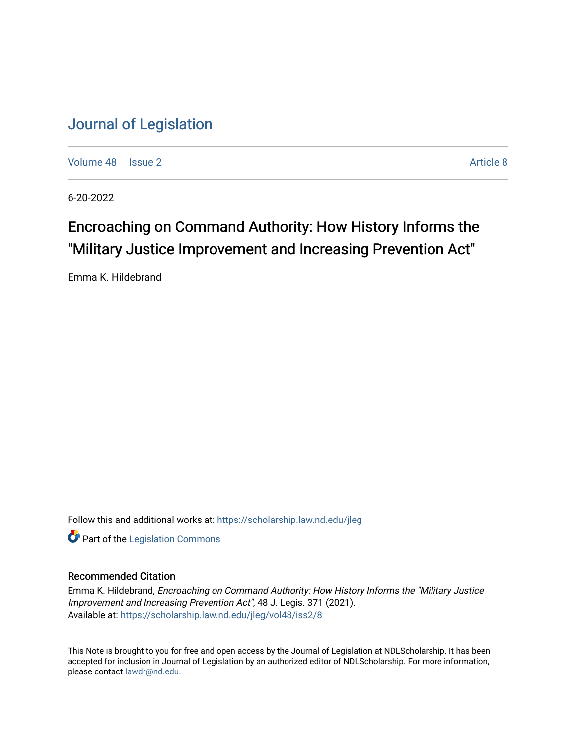[Volume 48](https://scholarship.law.nd.edu/jleg/vol48) | [Issue 2](https://scholarship.law.nd.edu/jleg/vol48/iss2) [Article 8](https://scholarship.law.nd.edu/jleg/vol48/iss2/8) | Article 8 Article 8 | Article 8 | Article 8 | Article 8 | Article 8 | Article 8

6-20-2022

# Encroaching on Command Authority: How History Informs the "Military Justice Improvement and Increasing Prevention Act"

Emma K. Hildebrand

Follow this and additional works at: [https://scholarship.law.nd.edu/jleg](https://scholarship.law.nd.edu/jleg?utm_source=scholarship.law.nd.edu%2Fjleg%2Fvol48%2Fiss2%2F8&utm_medium=PDF&utm_campaign=PDFCoverPages) 

**Part of the [Legislation Commons](https://network.bepress.com/hgg/discipline/859?utm_source=scholarship.law.nd.edu%2Fjleg%2Fvol48%2Fiss2%2F8&utm_medium=PDF&utm_campaign=PDFCoverPages)** 

# Recommended Citation

Emma K. Hildebrand, Encroaching on Command Authority: How History Informs the "Military Justice Improvement and Increasing Prevention Act", 48 J. Legis. 371 (2021). Available at: [https://scholarship.law.nd.edu/jleg/vol48/iss2/8](https://scholarship.law.nd.edu/jleg/vol48/iss2/8?utm_source=scholarship.law.nd.edu%2Fjleg%2Fvol48%2Fiss2%2F8&utm_medium=PDF&utm_campaign=PDFCoverPages) 

This Note is brought to you for free and open access by the Journal of Legislation at NDLScholarship. It has been accepted for inclusion in Journal of Legislation by an authorized editor of NDLScholarship. For more information, please contact [lawdr@nd.edu](mailto:lawdr@nd.edu).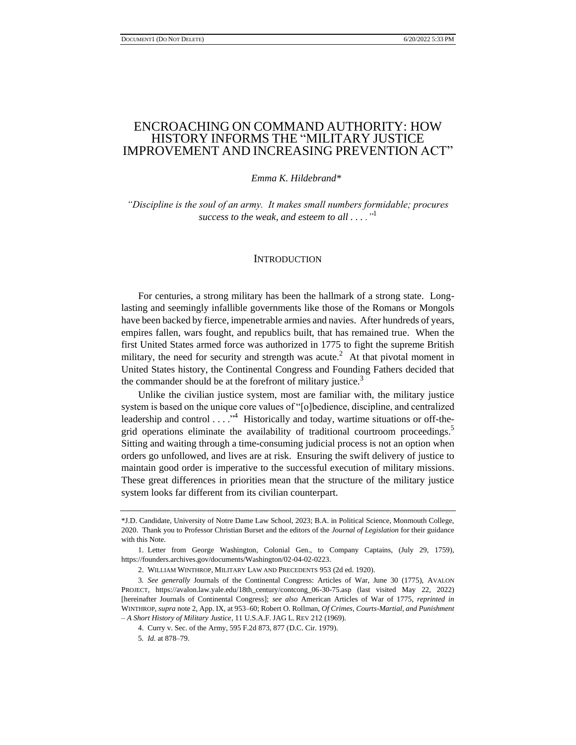# ENCROACHING ON COMMAND AUTHORITY: HOW HISTORY INFORMS THE "MILITARY JUSTICE IMPROVEMENT AND INCREASING PREVENTION ACT"

#### *Emma K. Hildebrand\**

*"Discipline is the soul of an army. It makes small numbers formidable; procures success to the weak, and esteem to all . . . ."*<sup>1</sup>

## **INTRODUCTION**

For centuries, a strong military has been the hallmark of a strong state. Longlasting and seemingly infallible governments like those of the Romans or Mongols have been backed by fierce, impenetrable armies and navies. After hundreds of years, empires fallen, wars fought, and republics built, that has remained true. When the first United States armed force was authorized in 1775 to fight the supreme British military, the need for security and strength was acute.<sup>2</sup> At that pivotal moment in United States history, the Continental Congress and Founding Fathers decided that the commander should be at the forefront of military justice. $3$ 

Unlike the civilian justice system, most are familiar with, the military justice system is based on the unique core values of "[o]bedience, discipline, and centralized leadership and control  $\dots$ <sup>4</sup> Historically and today, wartime situations or off-thegrid operations eliminate the availability of traditional courtroom proceedings.<sup>5</sup> Sitting and waiting through a time-consuming judicial process is not an option when orders go unfollowed, and lives are at risk. Ensuring the swift delivery of justice to maintain good order is imperative to the successful execution of military missions. These great differences in priorities mean that the structure of the military justice system looks far different from its civilian counterpart.

<sup>\*</sup>J.D. Candidate, University of Notre Dame Law School, 2023; B.A. in Political Science, Monmouth College, 2020. Thank you to Professor Christian Burset and the editors of the *Journal of Legislation* for their guidance with this Note.

<sup>1.</sup> Letter from George Washington, Colonial Gen., to Company Captains, (July 29, 1759), https://founders.archives.gov/documents/Washington/02-04-02-0223.

<sup>2.</sup> WILLIAM WINTHROP, MILITARY LAW AND PRECEDENTS 953 (2d ed. 1920).

<sup>3</sup>*. See generally* Journals of the Continental Congress: Articles of War, June 30 (1775), AVALON PROJECT, https://avalon.law.yale.edu/18th\_century/contcong\_06-30-75.asp (last visited May 22, 2022) [hereinafter Journals of Continental Congress]; *see also* American Articles of War of 1775, *reprinted in* WINTHROP, *supra* note 2, App. IX, at 953–60; Robert O. Rollman, *Of Crimes, Courts-Martial, and Punishment – A Short History of Military Justice*, 11 U.S.A.F. JAG L. REV 212 (1969).

<sup>4.</sup> Curry v. Sec. of the Army, 595 F.2d 873, 877 (D.C. Cir. 1979).

<sup>5</sup>*. Id.* at 878–79.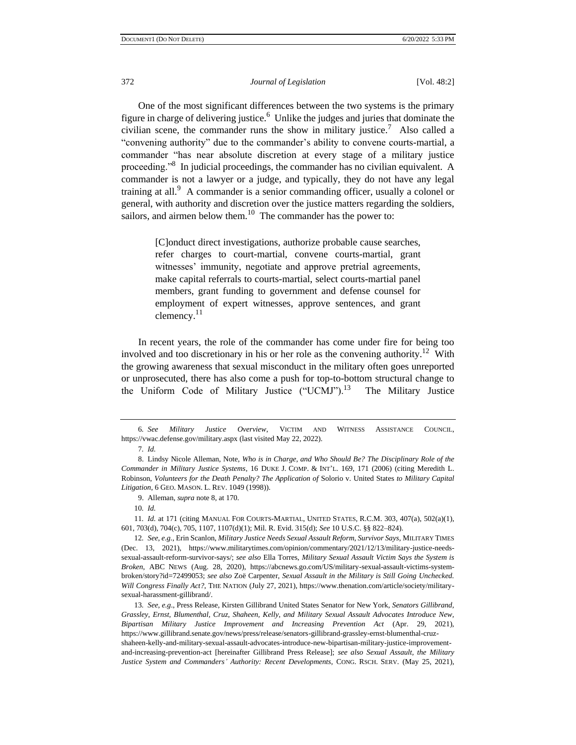One of the most significant differences between the two systems is the primary figure in charge of delivering justice.<sup>6</sup> Unlike the judges and juries that dominate the civilian scene, the commander runs the show in military justice.<sup>7</sup> Also called a "convening authority" due to the commander's ability to convene courts-martial, a commander "has near absolute discretion at every stage of a military justice proceeding."<sup>8</sup> In judicial proceedings, the commander has no civilian equivalent. A commander is not a lawyer or a judge, and typically, they do not have any legal training at all.<sup>9</sup> A commander is a senior commanding officer, usually a colonel or general, with authority and discretion over the justice matters regarding the soldiers, sailors, and airmen below them. $10$  The commander has the power to:

> [C]onduct direct investigations, authorize probable cause searches, refer charges to court-martial, convene courts-martial, grant witnesses' immunity, negotiate and approve pretrial agreements, make capital referrals to courts-martial, select courts-martial panel members, grant funding to government and defense counsel for employment of expert witnesses, approve sentences, and grant clemency.<sup>11</sup>

In recent years, the role of the commander has come under fire for being too involved and too discretionary in his or her role as the convening authority.<sup>12</sup> With the growing awareness that sexual misconduct in the military often goes unreported or unprosecuted, there has also come a push for top-to-bottom structural change to the Uniform Code of Military Justice ("UCMJ").<sup>13</sup> The Military Justice

11*. Id.* at 171 (citing MANUAL FOR COURTS-MARTIAL, UNITED STATES, R.C.M. 303, 407(a), 502(a)(1), 601, 703(d), 704(c), 705, 1107, 1107(d)(1); Mil. R. Evid. 315(d); *See* 10 U.S.C. §§ 822–824).

12*. See, e.g.*, Erin Scanlon, *Military Justice Needs Sexual Assault Reform, Survivor Says*, MILITARY TIMES (Dec. 13, 2021), https://www.militarytimes.com/opinion/commentary/2021/12/13/military-justice-needssexual-assault-reform-survivor-says/; *see also* Ella Torres, *Military Sexual Assault Victim Says the System is Broken*, ABC NEWS (Aug. 28, 2020), https://abcnews.go.com/US/military-sexual-assault-victims-systembroken/story?id=72499053; *see also* Zoë Carpenter, *Sexual Assault in the Military is Still Going Unchecked. Will Congress Finally Act?*, THE NATION (July 27, 2021), https://www.thenation.com/article/society/militarysexual-harassment-gillibrand/.

13*. See, e.g*., Press Release, Kirsten Gillibrand United States Senator for New York, *Senators Gillibrand, Grassley, Ernst, Blumenthal, Cruz, Shaheen, Kelly, and Military Sexual Assault Advocates Introduce New, Bipartisan Military Justice Improvement and Increasing Prevention Act* (Apr. 29, 2021), [https://www.gillibrand.senate.gov/news/press/release/senators-gillibrand-grassley-ernst-blumenthal-cruz-](https://www.gillibrand.senate.gov/news/press/release/senators-gillibrand-grassley-ernst-blumenthal-cruz-shaheen-kelly-and-military-sexual-assault-advocates-introduce-new-bipartisan-military-justice-improvement-and-increasing-prevention-act)

[shaheen-kelly-and-military-sexual-assault-advocates-introduce-new-bipartisan-military-justice-improvement](https://www.gillibrand.senate.gov/news/press/release/senators-gillibrand-grassley-ernst-blumenthal-cruz-shaheen-kelly-and-military-sexual-assault-advocates-introduce-new-bipartisan-military-justice-improvement-and-increasing-prevention-act)[and-increasing-prevention-act](https://www.gillibrand.senate.gov/news/press/release/senators-gillibrand-grassley-ernst-blumenthal-cruz-shaheen-kelly-and-military-sexual-assault-advocates-introduce-new-bipartisan-military-justice-improvement-and-increasing-prevention-act) [hereinafter Gillibrand Press Release]; *see also Sexual Assault, the Military Justice System and Commanders' Authority: Recent Developments*, CONG. RSCH. SERV. (May 25, 2021),

<sup>6</sup>*. See Military Justice Overview*, VICTIM AND WITNESS ASSISTANCE COUNCIL, https://vwac.defense.gov/military.aspx (last visited May 22, 2022).

<sup>7</sup>*. Id.*

<sup>8.</sup> Lindsy Nicole Alleman, Note, *Who is in Charge, and Who Should Be? The Disciplinary Role of the Commander in Military Justice Systems*, 16 DUKE J. COMP. & INT'L. 169, 171 (2006) (citing Meredith L. Robinson, *Volunteers for the Death Penalty? The Application of* Solorio v. United States *to Military Capital Litigation*, 6 GEO. MASON. L. REV. 1049 (1998)).

<sup>9.</sup> Alleman, *supra* note 8, at 170.

<sup>10</sup>*. Id.*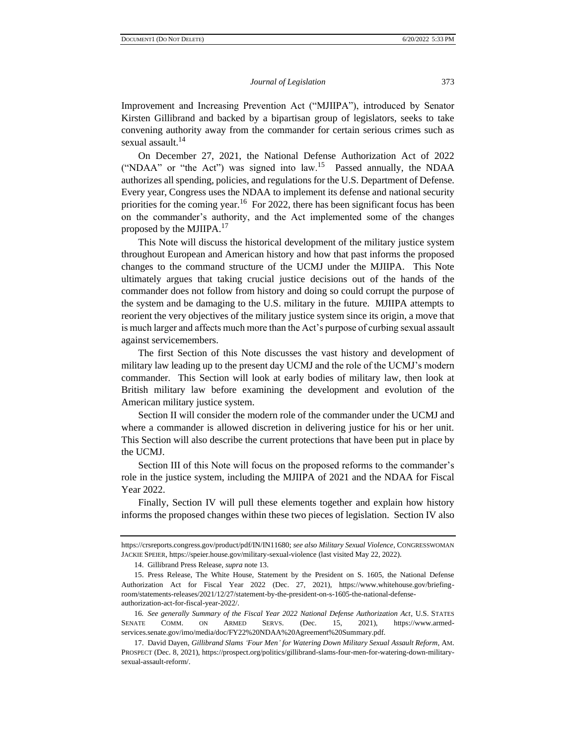Improvement and Increasing Prevention Act ("MJIIPA"), introduced by Senator Kirsten Gillibrand and backed by a bipartisan group of legislators, seeks to take convening authority away from the commander for certain serious crimes such as sexual assault.<sup>14</sup>

On December 27, 2021, the National Defense Authorization Act of 2022 ("NDAA" or "the Act") was signed into law.<sup>15</sup> Passed annually, the NDAA authorizes all spending, policies, and regulations for the U.S. Department of Defense. Every year, Congress uses the NDAA to implement its defense and national security priorities for the coming year.<sup>16</sup> For 2022, there has been significant focus has been on the commander's authority, and the Act implemented some of the changes proposed by the MJIIPA.<sup>17</sup>

This Note will discuss the historical development of the military justice system throughout European and American history and how that past informs the proposed changes to the command structure of the UCMJ under the MJIIPA. This Note ultimately argues that taking crucial justice decisions out of the hands of the commander does not follow from history and doing so could corrupt the purpose of the system and be damaging to the U.S. military in the future. MJIIPA attempts to reorient the very objectives of the military justice system since its origin, a move that is much larger and affects much more than the Act's purpose of curbing sexual assault against servicemembers.

The first Section of this Note discusses the vast history and development of military law leading up to the present day UCMJ and the role of the UCMJ's modern commander. This Section will look at early bodies of military law, then look at British military law before examining the development and evolution of the American military justice system.

Section II will consider the modern role of the commander under the UCMJ and where a commander is allowed discretion in delivering justice for his or her unit. This Section will also describe the current protections that have been put in place by the UCMJ.

Section III of this Note will focus on the proposed reforms to the commander's role in the justice system, including the MJIIPA of 2021 and the NDAA for Fiscal Year 2022.

Finally, Section IV will pull these elements together and explain how history informs the proposed changes within these two pieces of legislation. Section IV also

https://crsreports.congress.gov/product/pdf/IN/IN11680; *see also Military Sexual Violence*, CONGRESSWOMAN JACKIE SPEIER, https://speier.house.gov/military-sexual-violence (last visited May 22, 2022).

<sup>14.</sup> Gillibrand Press Release, *supra* note 13.

<sup>15.</sup> Press Release, The White House, Statement by the President on S. 1605, the National Defense Authorization Act for Fiscal Year 2022 (Dec. 27, 2021), https://www.whitehouse.gov/briefingroom/statements-releases/2021/12/27/statement-by-the-president-on-s-1605-the-national-defenseauthorization-act-for-fiscal-year-2022/.

<sup>16</sup>*. See generally Summary of the Fiscal Year 2022 National Defense Authorization Act*, U.S. STATES SENATE COMM. ON ARMED SERVS. (Dec. 15, 2021), https://www.armedservices.senate.gov/imo/media/doc/FY22%20NDAA%20Agreement%20Summary.pdf.

<sup>17.</sup> David Dayen, *Gillibrand Slams 'Four Men' for Watering Down Military Sexual Assault Reform*, AM. PROSPECT (Dec. 8, 2021), https://prospect.org/politics/gillibrand-slams-four-men-for-watering-down-militarysexual-assault-reform/.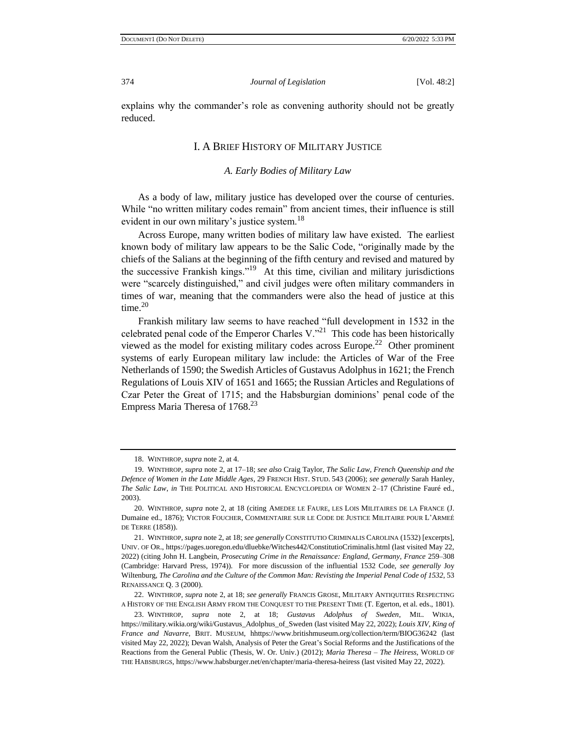explains why the commander's role as convening authority should not be greatly reduced.

## I. A BRIEF HISTORY OF MILITARY JUSTICE

### *A. Early Bodies of Military Law*

As a body of law, military justice has developed over the course of centuries. While "no written military codes remain" from ancient times, their influence is still evident in our own military's justice system.<sup>18</sup>

Across Europe, many written bodies of military law have existed. The earliest known body of military law appears to be the Salic Code, "originally made by the chiefs of the Salians at the beginning of the fifth century and revised and matured by the successive Frankish kings."<sup>19</sup> At this time, civilian and military jurisdictions were "scarcely distinguished," and civil judges were often military commanders in times of war, meaning that the commanders were also the head of justice at this time $^{20}$ 

Frankish military law seems to have reached "full development in 1532 in the celebrated penal code of the Emperor Charles  $V.^{21}$  This code has been historically viewed as the model for existing military codes across Europe.<sup>22</sup> Other prominent systems of early European military law include: the Articles of War of the Free Netherlands of 1590; the Swedish Articles of Gustavus Adolphus in 1621; the French Regulations of Louis XIV of 1651 and 1665; the Russian Articles and Regulations of Czar Peter the Great of 1715; and the Habsburgian dominions' penal code of the Empress Maria Theresa of 1768.<sup>23</sup>

22. WINTHROP, *supra* note 2, at 18; *see generally* FRANCIS GROSE, MILITARY ANTIQUITIES RESPECTING A HISTORY OF THE ENGLISH ARMY FROM THE CONQUEST TO THE PRESENT TIME (T. Egerton, et al. eds., 1801).

<sup>18.</sup> WINTHROP, *supra* note 2, at 4.

<sup>19.</sup> WINTHROP, *supra* note 2, at 17–18; *see also* Craig Taylor, *The Salic Law, French Queenship and the Defence of Women in the Late Middle Ages*, 29 FRENCH HIST. STUD. 543 (2006); *see generally* Sarah Hanley, *The Salic Law*, *in* THE POLITICAL AND HISTORICAL ENCYCLOPEDIA OF WOMEN 2–17 (Christine Fauré ed., 2003).

<sup>20.</sup> WINTHROP, *supra* note 2, at 18 (citing AMEDEE LE FAURE, LES LOIS MILITAIRES DE LA FRANCE (J. Dumaine ed., 1876); VICTOR FOUCHER, COMMENTAIRE SUR LE CODE DE JUSTICE MILITAIRE POUR L'ARMEÉ DE TERRE (1858)).

<sup>21.</sup> WINTHROP, *supra* note 2, at 18; *see generally* CONSTITUTIO CRIMINALIS CAROLINA (1532) [excerpts], UNIV. OF OR., https://pages.uoregon.edu/dluebke/Witches442/ConstitutioCriminalis.html (last visited May 22, 2022) (citing John H. Langbein, *Prosecuting Crime in the Renaissance: England, Germany, France* 259–308 (Cambridge: Harvard Press, 1974)). For more discussion of the influential 1532 Code, *see generally* Joy Wiltenburg, *The Carolina and the Culture of the Common Man: Revisting the Imperial Penal Code of 1532*, 53 RENAISSANCE Q. 3 (2000).

<sup>23.</sup> WINTHROP, *supra* note 2, at 18; *Gustavus Adolphus of Sweden*, MIL. WIKIA, https://military.wikia.org/wiki/Gustavus\_Adolphus\_of\_Sweden (last visited May 22, 2022); *Louis XIV, King of France and Navarre*, BRIT. MUSEUM, hhttps://www.britishmuseum.org/collection/term/BIOG36242 (last visited May 22, 2022); Devan Walsh, Analysis of Peter the Great's Social Reforms and the Justifications of the Reactions from the General Public (Thesis, W. Or. Univ.) (2012); *Maria Theresa – The Heiress*, WORLD OF THE HABSBURGS, https://www.habsburger.net/en/chapter/maria-theresa-heiress (last visited May 22, 2022).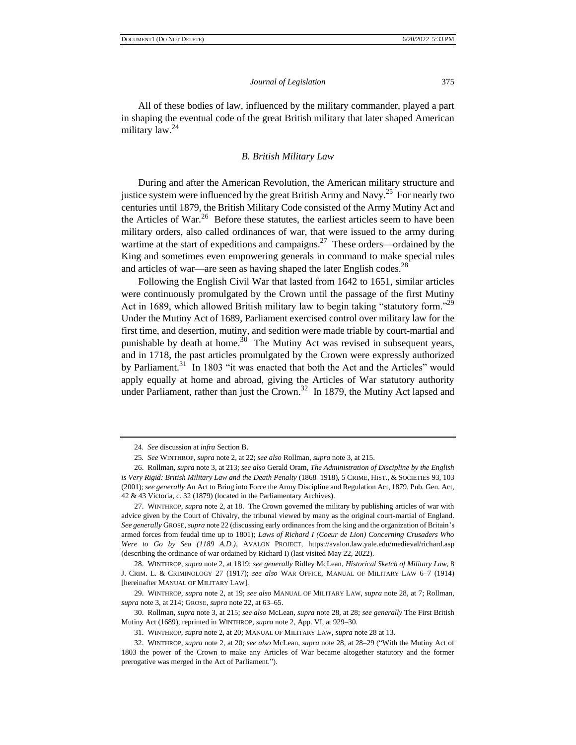All of these bodies of law, influenced by the military commander, played a part in shaping the eventual code of the great British military that later shaped American military law.<sup>24</sup>

#### *B. British Military Law*

During and after the American Revolution, the American military structure and justice system were influenced by the great British Army and Navy.<sup>25</sup> For nearly two centuries until 1879, the British Military Code consisted of the Army Mutiny Act and the Articles of War.<sup>26</sup> Before these statutes, the earliest articles seem to have been military orders, also called ordinances of war, that were issued to the army during wartime at the start of expeditions and campaigns.<sup>27</sup> These orders—ordained by the King and sometimes even empowering generals in command to make special rules and articles of war—are seen as having shaped the later English codes.<sup>28</sup>

Following the English Civil War that lasted from 1642 to 1651, similar articles were continuously promulgated by the Crown until the passage of the first Mutiny Act in 1689, which allowed British military law to begin taking "statutory form."<sup>29</sup> Under the Mutiny Act of 1689, Parliament exercised control over military law for the first time, and desertion, mutiny, and sedition were made triable by court-martial and punishable by death at home.<sup>30</sup> The Mutiny Act was revised in subsequent years, and in 1718, the past articles promulgated by the Crown were expressly authorized by Parliament.<sup>31</sup> In 1803 "it was enacted that both the Act and the Articles" would apply equally at home and abroad, giving the Articles of War statutory authority under Parliament, rather than just the Crown.<sup>32</sup> In 1879, the Mutiny Act lapsed and

30. Rollman, *supra* note 3, at 215; *see also* McLean, *supra* note 28, at 28; *see generally* The First British Mutiny Act (1689), reprinted in WINTHROP, *supra* note 2, App. VI, at 929–30.

31. WINTHROP, *supra* note 2, at 20; MANUAL OF MILITARY LAW, *supra* note 28 at 13.

<sup>24</sup>*. See* discussion at *infra* Section B.

<sup>25</sup>*. See* WINTHROP, *supra* note 2, at 22; *see also* Rollman, *supra* note 3, at 215.

<sup>26.</sup> Rollman, *supra* note 3, at 213; *see also* Gerald Oram, *The Administration of Discipline by the English is Very Rigid: British Military Law and the Death Penalty* (1868–1918), 5 CRIME, HIST., & SOCIETIES 93, 103 (2001); *see generally* An Act to Bring into Force the Army Discipline and Regulation Act, 1879, Pub. Gen. Act, 42 & 43 Victoria, c. 32 (1879) (located in the Parliamentary Archives).

<sup>27.</sup> WINTHROP, *supra* note 2, at 18. The Crown governed the military by publishing articles of war with advice given by the Court of Chivalry, the tribunal viewed by many as the original court-martial of England. *See generally* GROSE, *supra* note 22 (discussing early ordinances from the king and the organization of Britain's armed forces from feudal time up to 1801); *Laws of Richard I (Coeur de Lion) Concerning Crusaders Who Were to Go by Sea (1189 A.D.)*, AVALON PROJECT, https://avalon.law.yale.edu/medieval/richard.asp (describing the ordinance of war ordained by Richard I) (last visited May 22, 2022).

<sup>28.</sup> WINTHROP, *supra* note 2, at 1819; *see generally* Ridley McLean, *Historical Sketch of Military Law*, 8 J. CRIM. L. & CRIMINOLOGY 27 (1917); *see also* WAR OFFICE, MANUAL OF MILITARY LAW 6–7 (1914) [hereinafter MANUAL OF MILITARY LAW].

<sup>29.</sup> WINTHROP, *supra* note 2, at 19; *see also* MANUAL OF MILITARY LAW, *supra* note 28, at 7; Rollman, *supra* note 3, at 214; GROSE, *supra* note 22, at 63–65.

<sup>32.</sup> WINTHROP, *supra* note 2, at 20; *see also* McLean, *supra* note 28, at 28–29 ("With the Mutiny Act of 1803 the power of the Crown to make any Articles of War became altogether statutory and the former prerogative was merged in the Act of Parliament.").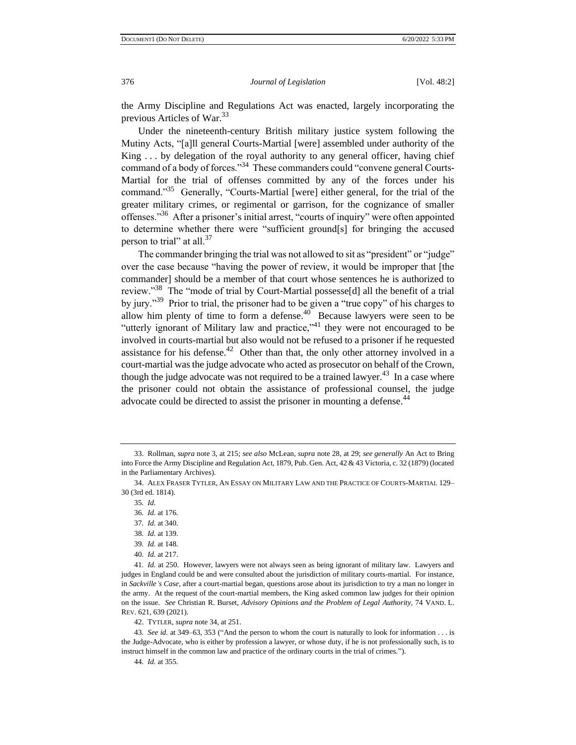the Army Discipline and Regulations Act was enacted, largely incorporating the previous Articles of War.<sup>33</sup>

Under the nineteenth-century British military justice system following the Mutiny Acts, "[a]ll general Courts-Martial [were] assembled under authority of the King ... by delegation of the royal authority to any general officer, having chief command of a body of forces."<sup>34</sup> These commanders could "convene general Courts-Martial for the trial of offenses committed by any of the forces under his command."<sup>35</sup> Generally, "Courts-Martial [were] either general, for the trial of the greater military crimes, or regimental or garrison, for the cognizance of smaller offenses."<sup>36</sup> After a prisoner's initial arrest, "courts of inquiry" were often appointed to determine whether there were "sufficient ground[s] for bringing the accused person to trial" at all.<sup>37</sup>

The commander bringing the trial was not allowed to sit as "president" or "judge" over the case because "having the power of review, it would be improper that [the commander] should be a member of that court whose sentences he is authorized to review."<sup>38</sup> The "mode of trial by Court-Martial possesse[d] all the benefit of a trial by jury."<sup>39</sup> Prior to trial, the prisoner had to be given a "true copy" of his charges to allow him plenty of time to form a defense. $40$  Because lawyers were seen to be "utterly ignorant of Military law and practice,"<sup>41</sup> they were not encouraged to be involved in courts-martial but also would not be refused to a prisoner if he requested assistance for his defense. $42$  Other than that, the only other attorney involved in a court-martial was the judge advocate who acted as prosecutor on behalf of the Crown, though the judge advocate was not required to be a trained lawyer.<sup>43</sup> In a case where the prisoner could not obtain the assistance of professional counsel, the judge advocate could be directed to assist the prisoner in mounting a defense.<sup>44</sup>

<sup>33.</sup> Rollman, *supra* note 3, at 215; *see also* McLean, *supra* note 28, at 29; *see generally* An Act to Bring into Force the Army Discipline and Regulation Act, 1879, Pub. Gen. Act, 42 & 43 Victoria, c. 32 (1879) (located in the Parliamentary Archives).

<sup>34.</sup> ALEX FRASER TYTLER, AN ESSAY ON MILITARY LAW AND THE PRACTICE OF COURTS-MARTIAL 129– 30 (3rd ed. 1814).

<sup>35</sup>*. Id.*

<sup>36</sup>*. Id.* at 176.

<sup>37</sup>*. Id.* at 340.

<sup>38</sup>*. Id.* at 139.

<sup>39</sup>*. Id.* at 148.

<sup>40</sup>*. Id.* at 217.

<sup>41</sup>*. Id.* at 250. However, lawyers were not always seen as being ignorant of military law. Lawyers and judges in England could be and were consulted about the jurisdiction of military courts-martial. For instance, in *Sackville's Case*, after a court-martial began, questions arose about its jurisdiction to try a man no longer in the army. At the request of the court-martial members, the King asked common law judges for their opinion on the issue. *See* Christian R. Burset, *Advisory Opinions and the Problem of Legal Authority*, 74 VAND. L. REV. 621, 639 (2021).

<sup>42.</sup> TYTLER, *supra* note 34, at 251.

<sup>43</sup>*. See id.* at 349–63, 353 ("And the person to whom the court is naturally to look for information . . . is the Judge-Advocate, who is either by profession a lawyer, or whose duty, if he is not professionally such, is to instruct himself in the common law and practice of the ordinary courts in the trial of crimes.").

<sup>44</sup>*. Id.* at 355.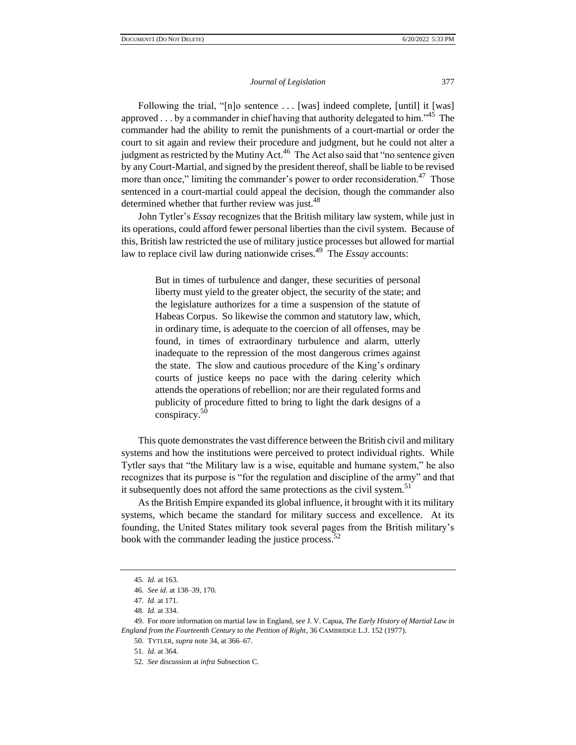Following the trial, "[n]o sentence . . . [was] indeed complete, [until] it [was] approved . . . by a commander in chief having that authority delegated to him."<sup>45</sup> The commander had the ability to remit the punishments of a court-martial or order the court to sit again and review their procedure and judgment, but he could not alter a judgment as restricted by the Mutiny Act.<sup>46</sup> The Act also said that "no sentence given by any Court-Martial, and signed by the president thereof, shall be liable to be revised more than once," limiting the commander's power to order reconsideration.<sup>47</sup> Those sentenced in a court-martial could appeal the decision, though the commander also determined whether that further review was just.<sup>48</sup>

John Tytler's *Essay* recognizes that the British military law system, while just in its operations, could afford fewer personal liberties than the civil system. Because of this, British law restricted the use of military justice processes but allowed for martial law to replace civil law during nationwide crises.<sup>49</sup> The *Essay* accounts:

> But in times of turbulence and danger, these securities of personal liberty must yield to the greater object, the security of the state; and the legislature authorizes for a time a suspension of the statute of Habeas Corpus. So likewise the common and statutory law, which, in ordinary time, is adequate to the coercion of all offenses, may be found, in times of extraordinary turbulence and alarm, utterly inadequate to the repression of the most dangerous crimes against the state. The slow and cautious procedure of the King's ordinary courts of justice keeps no pace with the daring celerity which attends the operations of rebellion; nor are their regulated forms and publicity of procedure fitted to bring to light the dark designs of a conspiracy.<sup>50</sup>

This quote demonstrates the vast difference between the British civil and military systems and how the institutions were perceived to protect individual rights. While Tytler says that "the Military law is a wise, equitable and humane system," he also recognizes that its purpose is "for the regulation and discipline of the army" and that it subsequently does not afford the same protections as the civil system.<sup>51</sup>

As the British Empire expanded its global influence, it brought with it its military systems, which became the standard for military success and excellence. At its founding, the United States military took several pages from the British military's book with the commander leading the justice process.<sup>52</sup>

<sup>45</sup>*. Id.* at 163.

<sup>46</sup>*. See id.* at 138–39, 170.

<sup>47</sup>*. Id.* at 171.

<sup>48</sup>*. Id.* at 334.

<sup>49.</sup> For more information on martial law in England, *see* J. V. Capua, *The Early History of Martial Law in England from the Fourteenth Century to the Petition of Right*, 36 CAMBRIDGE L.J. 152 (1977).

<sup>50.</sup> TYTLER, *supra* note 34, at 366–67.

<sup>51</sup>*. Id.* at 364.

<sup>52</sup>*. See* discussion at *infra* Subsection C.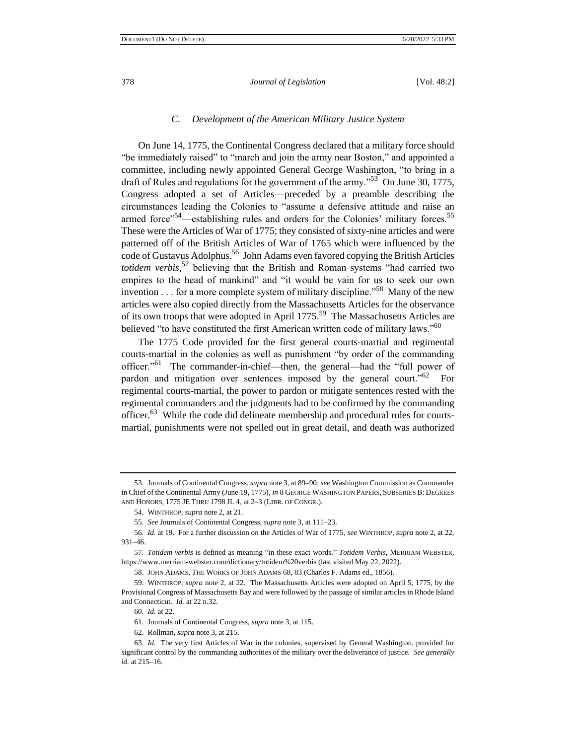#### *C. Development of the American Military Justice System*

On June 14, 1775, the Continental Congress declared that a military force should "be immediately raised" to "march and join the army near Boston," and appointed a committee, including newly appointed General George Washington, "to bring in a draft of Rules and regulations for the government of the army."<sup>53</sup> On June 30, 1775, Congress adopted a set of Articles—preceded by a preamble describing the circumstances leading the Colonies to "assume a defensive attitude and raise an armed force"<sup>54</sup>—establishing rules and orders for the Colonies' military forces.<sup>55</sup> These were the Articles of War of 1775; they consisted of sixty-nine articles and were patterned off of the British Articles of War of 1765 which were influenced by the code of Gustavus Adolphus.<sup>56</sup> John Adams even favored copying the British Articles *totidem verbis*, <sup>57</sup> believing that the British and Roman systems "had carried two empires to the head of mankind" and "it would be vain for us to seek our own invention  $\dots$  for a more complete system of military discipline.<sup>558</sup> Many of the new articles were also copied directly from the Massachusetts Articles for the observance of its own troops that were adopted in April 1775.<sup>59</sup> The Massachusetts Articles are believed "to have constituted the first American written code of military laws."<sup>60</sup>

The 1775 Code provided for the first general courts-martial and regimental courts-martial in the colonies as well as punishment "by order of the commanding officer."<sup>61</sup> The commander-in-chief—then, the general—had the "full power of pardon and mitigation over sentences imposed by the general court."<sup>62</sup> For regimental courts-martial, the power to pardon or mitigate sentences rested with the regimental commanders and the judgments had to be confirmed by the commanding officer.<sup>63</sup> While the code did delineate membership and procedural rules for courtsmartial, punishments were not spelled out in great detail, and death was authorized

<sup>53.</sup> Journals of Continental Congress, *supra* note 3, at 89–90; *see* Washington Commission as Commander in Chief of the Continental Army (June 19, 1775), *in* 8 GEORGE WASHINGTON PAPERS, SUBSERIES B: DEGREES AND HONORS, 1775 JE THRU 1798 JL 4, at 2–3 (LIBR. OF CONGR.).

<sup>54.</sup> WINTHROP, *supra* note 2, at 21.

<sup>55</sup>*. See* Journals of Continental Congress, *supra* note 3, at 111–23.

<sup>56</sup>*. Id.* at 19. For a further discussion on the Articles of War of 1775, *see* WINTHROP, *supra* note 2, at 22, 931–46.

<sup>57</sup>*. Totidem verbis* is defined as meaning "in these exact words." *Totidem Verbis*, MERRIAM WEBSTER, https://www.merriam-webster.com/dictionary/totidem%20verbis (last visited May 22, 2022).

<sup>58.</sup> JOHN ADAMS, THE WORKS OF JOHN ADAMS 68, 83 (Charles F. Adams ed., 1856).

<sup>59.</sup> WINTHROP, *supra* note 2, at 22. The Massachusetts Articles were adopted on April 5, 1775, by the Provisional Congress of Massachusetts Bay and were followed by the passage of similar articles in Rhode Island and Connecticut. *Id.* at 22 n.32.

<sup>60</sup>*. Id.* at 22.

<sup>61.</sup> Journals of Continental Congress, *supra* note 3, at 115.

<sup>62.</sup> Rollman, *supra* note 3, at 215.

<sup>63</sup>*. Id.* The very first Articles of War in the colonies, supervised by General Washington, provided for significant control by the commanding authorities of the military over the deliverance of justice. *See generally id.* at 215–16.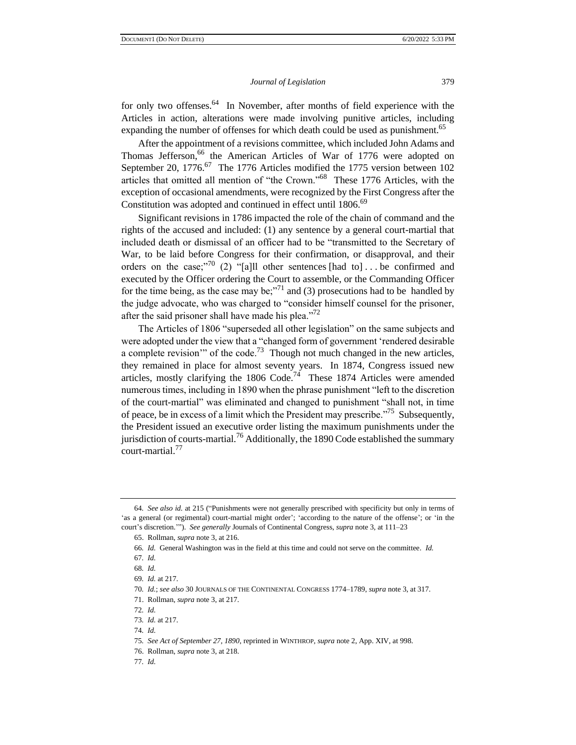for only two offenses.<sup>64</sup> In November, after months of field experience with the Articles in action, alterations were made involving punitive articles, including expanding the number of offenses for which death could be used as punishment.<sup>65</sup>

After the appointment of a revisions committee, which included John Adams and Thomas Jefferson,<sup>66</sup> the American Articles of War of 1776 were adopted on September 20, 1776.<sup>67</sup> The 1776 Articles modified the 1775 version between 102 articles that omitted all mention of "the Crown."<sup>68</sup> These 1776 Articles, with the exception of occasional amendments, were recognized by the First Congress after the Constitution was adopted and continued in effect until  $1806$ .<sup>69</sup>

Significant revisions in 1786 impacted the role of the chain of command and the rights of the accused and included: (1) any sentence by a general court-martial that included death or dismissal of an officer had to be "transmitted to the Secretary of War, to be laid before Congress for their confirmation, or disapproval, and their orders on the case;"<sup>70</sup> (2) "[a]ll other sentences [had to]... be confirmed and executed by the Officer ordering the Court to assemble, or the Commanding Officer for the time being, as the case may be;  $n^{\gamma}$  and (3) prosecutions had to be handled by the judge advocate, who was charged to "consider himself counsel for the prisoner, after the said prisoner shall have made his plea. $"^{72}$ 

The Articles of 1806 "superseded all other legislation" on the same subjects and were adopted under the view that a "changed form of government 'rendered desirable a complete revision" of the code.<sup>73</sup> Though not much changed in the new articles, they remained in place for almost seventy years. In 1874, Congress issued new articles, mostly clarifying the  $1806$  Code.<sup>74</sup> These 1874 Articles were amended numerous times, including in 1890 when the phrase punishment "left to the discretion of the court-martial" was eliminated and changed to punishment "shall not, in time of peace, be in excess of a limit which the President may prescribe."<sup>75</sup> Subsequently, the President issued an executive order listing the maximum punishments under the jurisdiction of courts-martial.<sup>76</sup> Additionally, the 1890 Code established the summary court-martial.<sup>77</sup>

<sup>64</sup>*. See also id.* at 215 ("Punishments were not generally prescribed with specificity but only in terms of 'as a general (or regimental) court-martial might order'; 'according to the nature of the offense'; or 'in the court's discretion.'"). *See generally* Journals of Continental Congress, *supra* note 3, at 111–23

<sup>65.</sup> Rollman, *supra* note 3, at 216.

<sup>66</sup>*. Id.* General Washington was in the field at this time and could not serve on the committee. *Id.*

<sup>67</sup>*. Id.*

<sup>68</sup>*. Id.*

<sup>69</sup>*. Id.* at 217.

<sup>70</sup>*. Id.*; *see also* 30 JOURNALS OF THE CONTINENTAL CONGRESS 1774–1789, *supra* note 3, at 317.

<sup>71.</sup> Rollman, *supra* note 3, at 217.

<sup>72</sup>*. Id.*

<sup>73</sup>*. Id.* at 217.

<sup>74</sup>*. Id.*

<sup>75</sup>*. See Act of September 27, 1890*, reprinted in WINTHROP, *supra* note 2, App. XIV, at 998.

<sup>76.</sup> Rollman, *supra* note 3, at 218.

<sup>77</sup>*. Id.*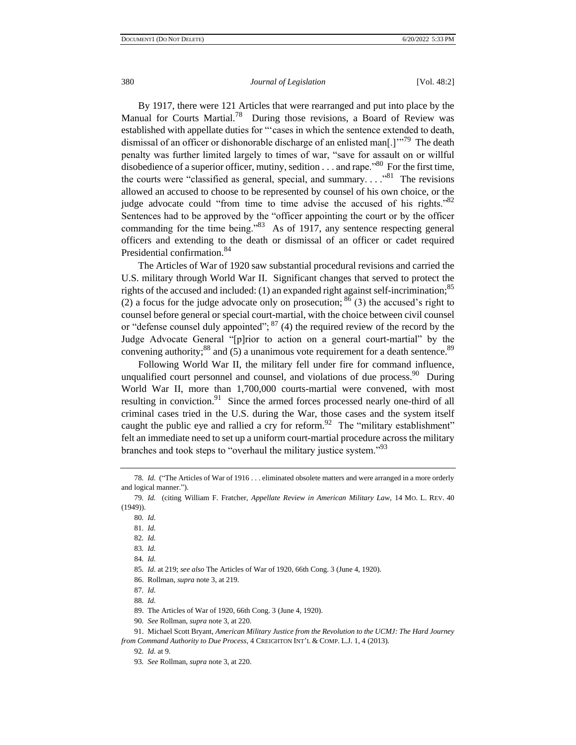By 1917, there were 121 Articles that were rearranged and put into place by the Manual for Courts Martial.<sup>78</sup> During those revisions, a Board of Review was established with appellate duties for "'cases in which the sentence extended to death, dismissal of an officer or dishonorable discharge of an enlisted man[.]"<sup>79</sup> The death penalty was further limited largely to times of war, "save for assault on or willful disobedience of a superior officer, mutiny, sedition  $\dots$  and rape.<sup>380</sup> For the first time, the courts were "classified as general, special, and summary...."<sup>81</sup> The revisions allowed an accused to choose to be represented by counsel of his own choice, or the judge advocate could "from time to time advise the accused of his rights." $82$ Sentences had to be approved by the "officer appointing the court or by the officer commanding for the time being.<sup>83</sup> As of 1917, any sentence respecting general officers and extending to the death or dismissal of an officer or cadet required Presidential confirmation.<sup>84</sup>

The Articles of War of 1920 saw substantial procedural revisions and carried the U.S. military through World War II. Significant changes that served to protect the rights of the accused and included:  $(1)$  an expanded right against self-incrimination;<sup>85</sup> (2) a focus for the judge advocate only on prosecution;  $86$  (3) the accused's right to counsel before general or special court-martial, with the choice between civil counsel or "defense counsel duly appointed";  $87$  (4) the required review of the record by the Judge Advocate General "[p]rior to action on a general court-martial" by the convening authority; $88$  and (5) a unanimous vote requirement for a death sentence. $89$ 

Following World War II, the military fell under fire for command influence, unqualified court personnel and counsel, and violations of due process. $90$  During World War II, more than 1,700,000 courts-martial were convened, with most resulting in conviction.<sup>91</sup> Since the armed forces processed nearly one-third of all criminal cases tried in the U.S. during the War, those cases and the system itself caught the public eye and rallied a cry for reform.<sup>92</sup> The "military establishment" felt an immediate need to set up a uniform court-martial procedure across the military branches and took steps to "overhaul the military justice system."<sup>93</sup>

81*. Id.*

83*. Id.*

85*. Id.* at 219; *see also* The Articles of War of 1920, 66th Cong. 3 (June 4, 1920).

86. Rollman, *supra* note 3, at 219.

88*. Id.*

89. The Articles of War of 1920, 66th Cong. 3 (June 4, 1920).

92*. Id.* at 9.

<sup>78</sup>*. Id.* ("The Articles of War of 1916 . . . eliminated obsolete matters and were arranged in a more orderly and logical manner.").

<sup>79</sup>*. Id.* (citing William F. Fratcher, *Appellate Review in American Military Law*, 14 MO. L. REV. 40 (1949)).

<sup>80</sup>*. Id.*

<sup>82</sup>*. Id.*

<sup>84</sup>*. Id.*

<sup>87</sup>*. Id.*

<sup>90</sup>*. See* Rollman, *supra* note 3, at 220.

<sup>91.</sup> Michael Scott Bryant, *American Military Justice from the Revolution to the UCMJ: The Hard Journey from Command Authority to Due Process*, 4 CREIGHTON INT'L & COMP. L.J. 1, 4 (2013).

<sup>93</sup>*. See* Rollman, *supra* note 3, at 220.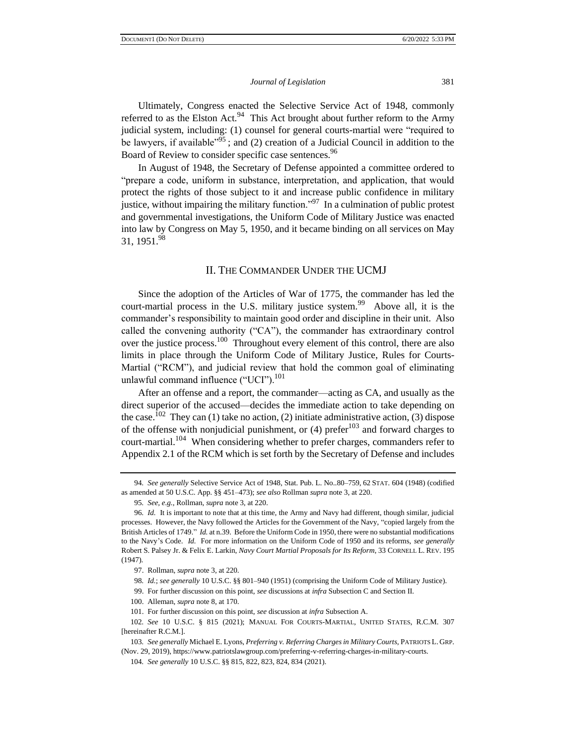Ultimately, Congress enacted the Selective Service Act of 1948, commonly referred to as the Elston Act. $94$  This Act brought about further reform to the Army judicial system, including: (1) counsel for general courts-martial were "required to be lawyers, if available $195$ ; and (2) creation of a Judicial Council in addition to the Board of Review to consider specific case sentences.<sup>96</sup>

In August of 1948, the Secretary of Defense appointed a committee ordered to "prepare a code, uniform in substance, interpretation, and application, that would protect the rights of those subject to it and increase public confidence in military justice, without impairing the military function.<sup> $\frac{97}{7}$ </sup> In a culmination of public protest and governmental investigations, the Uniform Code of Military Justice was enacted into law by Congress on May 5, 1950, and it became binding on all services on May 31, 1951.<sup>98</sup>

### II. THE COMMANDER UNDER THE UCMJ

Since the adoption of the Articles of War of 1775, the commander has led the court-martial process in the U.S. military justice system.<sup>99</sup> Above all, it is the commander's responsibility to maintain good order and discipline in their unit. Also called the convening authority ("CA"), the commander has extraordinary control over the justice process.<sup>100</sup> Throughout every element of this control, there are also limits in place through the Uniform Code of Military Justice, Rules for Courts-Martial ("RCM"), and judicial review that hold the common goal of eliminating unlawful command influence ("UCI").<sup>101</sup>

After an offense and a report, the commander—acting as CA, and usually as the direct superior of the accused—decides the immediate action to take depending on the case.<sup>102</sup> They can (1) take no action, (2) initiate administrative action, (3) dispose of the offense with nonjudicial punishment, or  $(4)$  prefer<sup>103</sup> and forward charges to court-martial.<sup>104</sup> When considering whether to prefer charges, commanders refer to Appendix 2.1 of the RCM which is set forth by the Secretary of Defense and includes

<sup>94</sup>*. See generally* Selective Service Act of 1948, Stat. Pub. L. No..80–759, 62 STAT. 604 (1948) (codified as amended at 50 U.S.C. App. §§ 451–473); *see also* Rollman *supra* note 3, at 220.

<sup>95</sup>*. See, e.g.*, Rollman, *supra* note 3, at 220.

<sup>96</sup>*. Id.* It is important to note that at this time, the Army and Navy had different, though similar, judicial processes. However, the Navy followed the Articles for the Government of the Navy, "copied largely from the British Articles of 1749." *Id.* at n.39. Before the Uniform Code in 1950, there were no substantial modifications to the Navy's Code. *Id.* For more information on the Uniform Code of 1950 and its reforms, *see generally* Robert S. Palsey Jr. & Felix E. Larkin, *Navy Court Martial Proposals for Its Reform*, 33 CORNELL L. REV. 195 (1947).

<sup>97.</sup> Rollman, *supra* note 3, at 220.

<sup>98</sup>*. Id.*; *see generally* 10 U.S.C. §§ 801–940 (1951) (comprising the Uniform Code of Military Justice).

<sup>99.</sup> For further discussion on this point, *see* discussions at *infra* Subsection C and Section II.

<sup>100.</sup> Alleman, *supra* note 8, at 170.

<sup>101.</sup> For further discussion on this point, *see* discussion at *infra* Subsection A.

<sup>102</sup>*. See* 10 U.S.C. § 815 (2021); MANUAL FOR COURTS-MARTIAL, UNITED STATES, R.C.M. 307 [hereinafter R.C.M.].

<sup>103</sup>*. See generally* Michael E. Lyons, *Preferring v. Referring Charges in Military Courts*, PATRIOTS L. GRP. (Nov. 29, 2019), https://www.patriotslawgroup.com/preferring-v-referring-charges-in-military-courts.

<sup>104</sup>*. See generally* 10 U.S.C. §§ 815, 822, 823, 824, 834 (2021).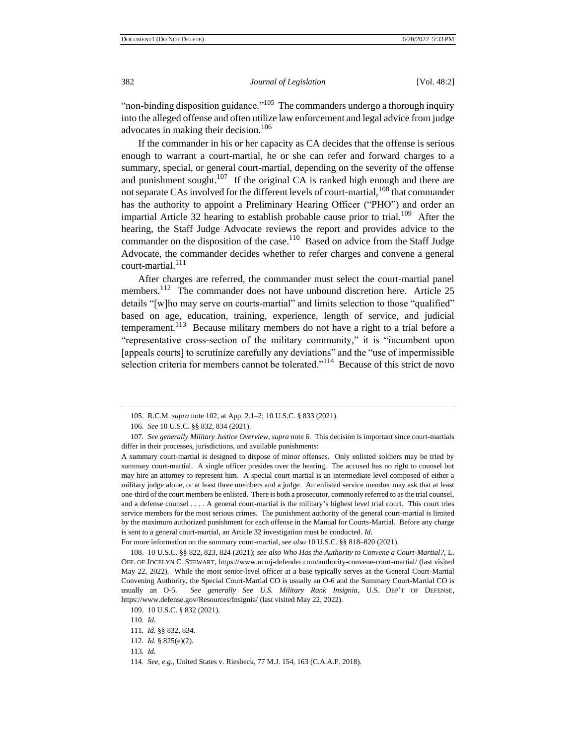"non-binding disposition guidance."<sup>105</sup> The commanders undergo a thorough inquiry into the alleged offense and often utilize law enforcement and legal advice from judge advocates in making their decision.<sup>106</sup>

If the commander in his or her capacity as CA decides that the offense is serious enough to warrant a court-martial, he or she can refer and forward charges to a summary, special, or general court-martial, depending on the severity of the offense and punishment sought.<sup>107</sup> If the original CA is ranked high enough and there are not separate CAs involved for the different levels of court-martial,<sup>108</sup> that commander has the authority to appoint a Preliminary Hearing Officer ("PHO") and order an impartial Article 32 hearing to establish probable cause prior to trial.<sup>109</sup> After the hearing, the Staff Judge Advocate reviews the report and provides advice to the commander on the disposition of the case.<sup>110</sup> Based on advice from the Staff Judge Advocate, the commander decides whether to refer charges and convene a general court-martial.<sup>111</sup>

After charges are referred, the commander must select the court-martial panel members.<sup>112</sup> The commander does not have unbound discretion here. Article 25 details "[w]ho may serve on courts-martial" and limits selection to those "qualified" based on age, education, training, experience, length of service, and judicial temperament.<sup>113</sup> Because military members do not have a right to a trial before a "representative cross-section of the military community," it is "incumbent upon [appeals courts] to scrutinize carefully any deviations" and the "use of impermissible selection criteria for members cannot be tolerated."<sup>114</sup> Because of this strict de novo

For more information on the summary court-martial, *see also* 10 U.S.C. §§ 818–820 (2021).

113*. Id.*

<sup>105.</sup> R.C.M. *supra* note 102, at App. 2.1–2; 10 U.S.C. § 833 (2021).

<sup>106</sup>*. See* 10 U.S.C. §§ 832, 834 (2021).

<sup>107</sup>*. See generally Military Justice Overview*, *supra* note 6. This decision is important since court-martials differ in their processes, jurisdictions, and available punishments:

A summary court-martial is designed to dispose of minor offenses. Only enlisted soldiers may be tried by summary court-martial. A single officer presides over the hearing. The accused has no right to counsel but may hire an attorney to represent him. A special court-martial is an intermediate level composed of either a military judge alone, or at least three members and a judge. An enlisted service member may ask that at least one-third of the court members be enlisted. There is both a prosecutor, commonly referred to as the trial counsel, and a defense counsel . . . . A general court-martial is the military's highest level trial court. This court tries service members for the most serious crimes. The punishment authority of the general court-martial is limited by the maximum authorized punishment for each offense in the Manual for Courts-Martial. Before any charge is sent to a general court-martial, an Article 32 investigation must be conducted. *Id.*

<sup>108.</sup> 10 U.S.C. §§ 822, 823, 824 (2021); *see also Who Has the Authority to Convene a Court-Martial?*, L. OFF. OF JOCELYN C. STEWART, https://www.ucmj-defender.com/authority-convene-court-martial/ (last visited May 22, 2022). While the most senior-level officer at a base typically serves as the General Court-Martial Convening Authority, the Special Court-Martial CO is usually an O-6 and the Summary Court-Martial CO is usually an O-5. *See generally See U.S. Military Rank Insignia*, U.S. DEP'T OF DEFENSE, https://www.defense.gov/Resources/Insignia/ (last visited May 22, 2022).

<sup>109.</sup> 10 U.S.C. § 832 (2021).

<sup>110</sup>*. Id*.

<sup>111</sup>*. Id.* §§ 832, 834.

<sup>112</sup>*. Id.* § 825(e)(2).

<sup>114</sup>*. See, e.g.*, United States v. Riesbeck, 77 M.J. 154, 163 (C.A.A.F. 2018).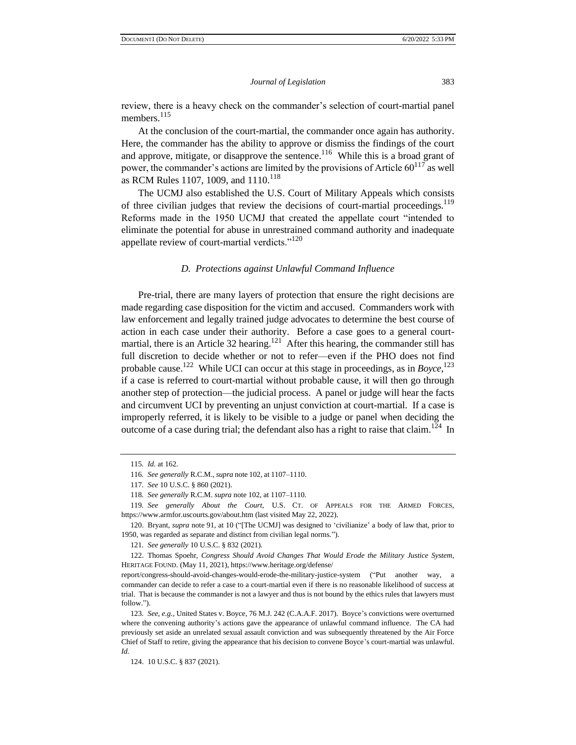review, there is a heavy check on the commander's selection of court-martial panel members.<sup>115</sup>

At the conclusion of the court-martial, the commander once again has authority. Here, the commander has the ability to approve or dismiss the findings of the court and approve, mitigate, or disapprove the sentence.<sup>116</sup> While this is a broad grant of power, the commander's actions are limited by the provisions of Article  $60^{117}$  as well as RCM Rules 1107, 1009, and 1110.<sup>118</sup>

The UCMJ also established the U.S. Court of Military Appeals which consists of three civilian judges that review the decisions of court-martial proceedings.<sup>119</sup> Reforms made in the 1950 UCMJ that created the appellate court "intended to eliminate the potential for abuse in unrestrained command authority and inadequate appellate review of court-martial verdicts."<sup>120</sup>

#### *D. Protections against Unlawful Command Influence*

Pre-trial, there are many layers of protection that ensure the right decisions are made regarding case disposition for the victim and accused. Commanders work with law enforcement and legally trained judge advocates to determine the best course of action in each case under their authority. Before a case goes to a general courtmartial, there is an Article 32 hearing.<sup>121</sup> After this hearing, the commander still has full discretion to decide whether or not to refer—even if the PHO does not find probable cause.<sup>122</sup> While UCI can occur at this stage in proceedings, as in *Boyce*,<sup>123</sup> if a case is referred to court-martial without probable cause, it will then go through another step of protection—the judicial process. A panel or judge will hear the facts and circumvent UCI by preventing an unjust conviction at court-martial. If a case is improperly referred, it is likely to be visible to a judge or panel when deciding the outcome of a case during trial; the defendant also has a right to raise that claim.<sup>124</sup> In

<sup>115</sup>*. Id.* at 162.

<sup>116</sup>*. See generally* R.C.M., *supra* note 102, at 1107–1110.

<sup>117</sup>*. See* 10 U.S.C. § 860 (2021).

<sup>118</sup>*. See generally* R.C.M. *supra* note 102, at 1107–1110.

<sup>119</sup>*. See generally About the Court*, U.S. CT. OF APPEALS FOR THE ARMED FORCES, https://www.armfor.uscourts.gov/about.htm (last visited May 22, 2022).

<sup>120.</sup> Bryant, *supra* note 91, at 10 ("[The UCMJ] was designed to 'civilianize' a body of law that, prior to 1950, was regarded as separate and distinct from civilian legal norms.").

<sup>121</sup>*. See generally* 10 U.S.C. § 832 (2021).

<sup>122.</sup> Thomas Spoehr, *Congress Should Avoid Changes That Would Erode the Military Justice System*, HERITAGE FOUND. (May 11, 2021), https://www.heritage.org/defense/

report/congress-should-avoid-changes-would-erode-the-military-justice-system ("Put another way, a commander can decide to refer a case to a court-martial even if there is no reasonable likelihood of success at trial. That is because the commander is not a lawyer and thus is not bound by the ethics rules that lawyers must follow.").

<sup>123</sup>*. See, e.g.*, United States v. Boyce, 76 M.J. 242 (C.A.A.F. 2017). Boyce's convictions were overturned where the convening authority's actions gave the appearance of unlawful command influence. The CA had previously set aside an unrelated sexual assault conviction and was subsequently threatened by the Air Force Chief of Staff to retire, giving the appearance that his decision to convene Boyce's court-martial was unlawful. *Id.*

<sup>124.</sup> 10 U.S.C. § 837 (2021).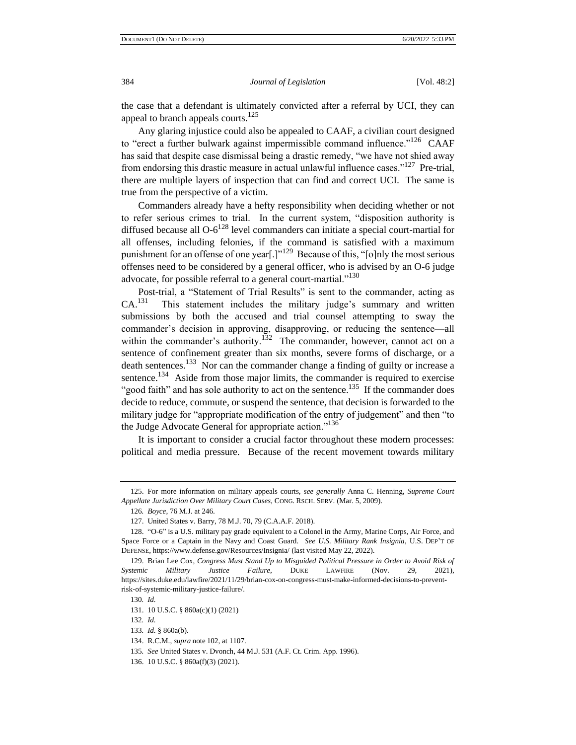the case that a defendant is ultimately convicted after a referral by UCI, they can appeal to branch appeals courts.<sup>125</sup>

Any glaring injustice could also be appealed to CAAF, a civilian court designed to "erect a further bulwark against impermissible command influence."<sup>126</sup> CAAF has said that despite case dismissal being a drastic remedy, "we have not shied away from endorsing this drastic measure in actual unlawful influence cases."<sup>127</sup> Pre-trial, there are multiple layers of inspection that can find and correct UCI. The same is true from the perspective of a victim.

Commanders already have a hefty responsibility when deciding whether or not to refer serious crimes to trial. In the current system, "disposition authority is diffused because all  $O-6^{128}$  level commanders can initiate a special court-martial for all offenses, including felonies, if the command is satisfied with a maximum punishment for an offense of one year[.] $v^{129}$  Because of this, "[o]nly the most serious offenses need to be considered by a general officer, who is advised by an O-6 judge advocate, for possible referral to a general court-martial."<sup>130</sup>

Post-trial, a "Statement of Trial Results" is sent to the commander, acting as  $CA.$ <sup>131</sup> This statement includes the military judge's summary and written submissions by both the accused and trial counsel attempting to sway the commander's decision in approving, disapproving, or reducing the sentence—all within the commander's authority.<sup>132</sup> The commander, however, cannot act on a sentence of confinement greater than six months, severe forms of discharge, or a death sentences.<sup>133</sup> Nor can the commander change a finding of guilty or increase a sentence.<sup>134</sup> Aside from those major limits, the commander is required to exercise "good faith" and has sole authority to act on the sentence.<sup>135</sup> If the commander does decide to reduce, commute, or suspend the sentence, that decision is forwarded to the military judge for "appropriate modification of the entry of judgement" and then "to the Judge Advocate General for appropriate action."<sup>136</sup>

It is important to consider a crucial factor throughout these modern processes: political and media pressure. Because of the recent movement towards military

<sup>125.</sup> For more information on military appeals courts, *see generally* Anna C. Henning, *Supreme Court Appellate Jurisdiction Over Military Court Cases*, CONG. RSCH. SERV. (Mar. 5, 2009).

<sup>126</sup>*. Boyce*, 76 M.J. at 246.

<sup>127.</sup> United States v. Barry, 78 M.J. 70, 79 (C.A.A.F. 2018).

<sup>128.</sup> "O-6" is a U.S. military pay grade equivalent to a Colonel in the Army, Marine Corps, Air Force, and Space Force or a Captain in the Navy and Coast Guard. *See U.S. Military Rank Insignia*, U.S. DEP'T OF DEFENSE, https://www.defense.gov/Resources/Insignia/ (last visited May 22, 2022).

<sup>129.</sup> Brian Lee Cox, *Congress Must Stand Up to Misguided Political Pressure in Order to Avoid Risk of Systemic Military Justice Failure*, DUKE LAWFIRE (Nov. 29, 2021), https://sites.duke.edu/lawfire/2021/11/29/brian-cox-on-congress-must-make-informed-decisions-to-preventrisk-of-systemic-military-justice-failure/.

<sup>130</sup>*. Id.*

<sup>131.</sup> 10 U.S.C. § 860a(c)(1) (2021)

<sup>132</sup>*. Id.*

<sup>133</sup>*. Id.* § 860a(b).

<sup>134.</sup> R.C.M., *supra* note 102, at 1107.

<sup>135</sup>*. See* United States v. Dvonch, 44 M.J. 531 (A.F. Ct. Crim. App. 1996).

<sup>136.</sup> 10 U.S.C. § 860a(f)(3) (2021).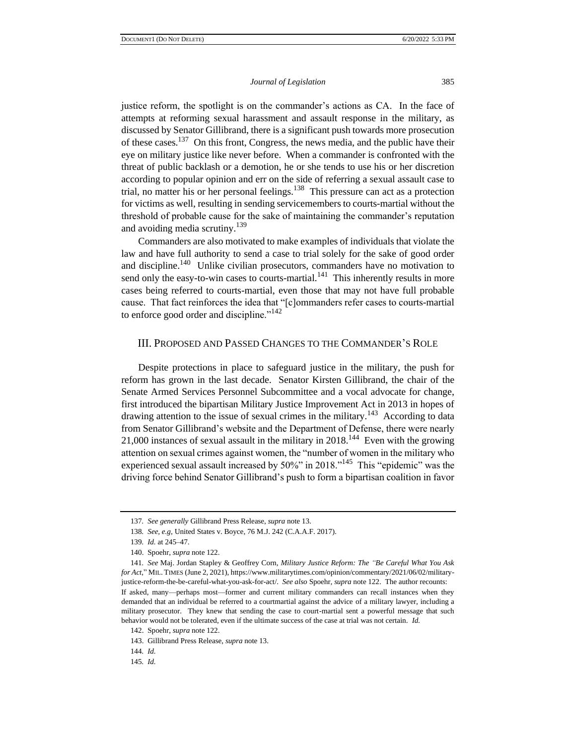justice reform, the spotlight is on the commander's actions as CA. In the face of attempts at reforming sexual harassment and assault response in the military, as discussed by Senator Gillibrand, there is a significant push towards more prosecution of these cases.<sup>137</sup> On this front, Congress, the news media, and the public have their eye on military justice like never before. When a commander is confronted with the threat of public backlash or a demotion, he or she tends to use his or her discretion according to popular opinion and err on the side of referring a sexual assault case to trial, no matter his or her personal feelings.<sup>138</sup> This pressure can act as a protection for victims as well, resulting in sending servicemembers to courts-martial without the threshold of probable cause for the sake of maintaining the commander's reputation and avoiding media scrutiny.<sup>139</sup>

Commanders are also motivated to make examples of individuals that violate the law and have full authority to send a case to trial solely for the sake of good order and discipline.<sup>140</sup> Unlike civilian prosecutors, commanders have no motivation to send only the easy-to-win cases to courts-martial.<sup>141</sup> This inherently results in more cases being referred to courts-martial, even those that may not have full probable cause. That fact reinforces the idea that "[c]ommanders refer cases to courts-martial to enforce good order and discipline."<sup>142</sup>

## III. PROPOSED AND PASSED CHANGES TO THE COMMANDER'S ROLE

Despite protections in place to safeguard justice in the military, the push for reform has grown in the last decade. Senator Kirsten Gillibrand, the chair of the Senate Armed Services Personnel Subcommittee and a vocal advocate for change, first introduced the bipartisan Military Justice Improvement Act in 2013 in hopes of drawing attention to the issue of sexual crimes in the military.<sup>143</sup> According to data from Senator Gillibrand's website and the Department of Defense, there were nearly 21,000 instances of sexual assault in the military in  $2018$ .<sup>144</sup> Even with the growing attention on sexual crimes against women, the "number of women in the military who experienced sexual assault increased by  $50\%$ " in 2018."<sup>145</sup> This "epidemic" was the driving force behind Senator Gillibrand's push to form a bipartisan coalition in favor

<sup>137</sup>*. See generally* Gillibrand Press Release, *supra* note 13.

<sup>138</sup>*. See, e.g*, United States v. Boyce, 76 M.J. 242 (C.A.A.F. 2017).

<sup>139</sup>*. Id.* at 245–47.

<sup>140.</sup> Spoehr, *supra* note 122.

<sup>141</sup>*. See* Maj. Jordan Stapley & Geoffrey Corn, *Military Justice Reform: The "Be Careful What You Ask for Act*," MIL. TIMES (June 2, 2021), https://www.militarytimes.com/opinion/commentary/2021/06/02/militaryjustice-reform-the-be-careful-what-you-ask-for-act/. *See also* Spoehr, *supra* note 122. The author recounts: If asked, many—perhaps most—former and current military commanders can recall instances when they

demanded that an individual be referred to a courtmartial against the advice of a military lawyer, including a military prosecutor. They knew that sending the case to court-martial sent a powerful message that such behavior would not be tolerated, even if the ultimate success of the case at trial was not certain. *Id.*

<sup>142.</sup> Spoehr, *supra* note 122.

<sup>143.</sup> Gillibrand Press Release, *supra* note 13.

<sup>144</sup>*. Id.*

<sup>145</sup>*. Id.*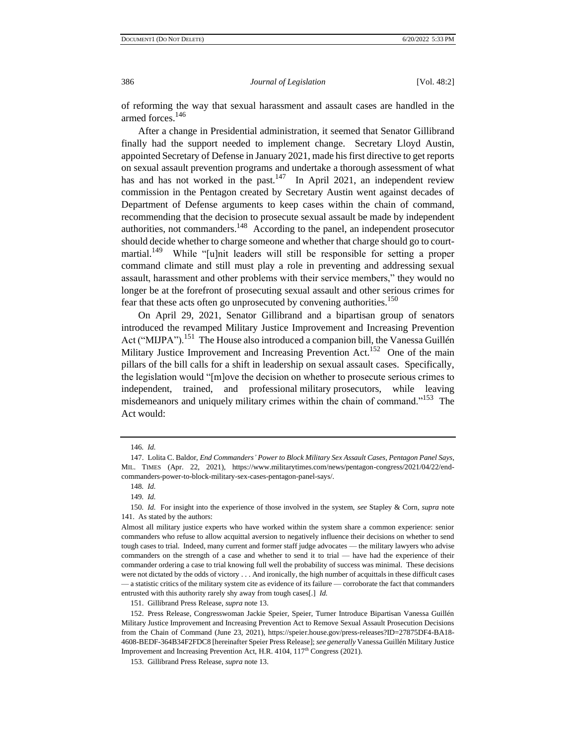of reforming the way that sexual harassment and assault cases are handled in the armed forces.<sup>146</sup>

After a change in Presidential administration, it seemed that Senator Gillibrand finally had the support needed to implement change. Secretary Lloyd Austin, appointed Secretary of Defense in January 2021, made his first directive to get reports on sexual assault prevention programs and undertake a thorough assessment of what has and has not worked in the past.<sup>147</sup> In April 2021, an independent review commission in the Pentagon created by Secretary Austin went against decades of Department of Defense arguments to keep cases within the chain of command, recommending that the decision to prosecute sexual assault be made by independent authorities, not commanders. $148$  According to the panel, an independent prosecutor should decide whether to charge someone and whether that charge should go to courtmartial.<sup>149</sup> While "[u]nit leaders will still be responsible for setting a proper command climate and still must play a role in preventing and addressing sexual assault, harassment and other problems with their service members," they would no longer be at the forefront of prosecuting sexual assault and other serious crimes for fear that these acts often go unprosecuted by convening authorities.<sup>150</sup>

On April 29, 2021, Senator Gillibrand and a bipartisan group of senators introduced the revamped Military Justice Improvement and Increasing Prevention Act ("MIJPA").<sup>151</sup> The House also introduced a companion bill, the Vanessa Guillén Military Justice Improvement and Increasing Prevention Act.<sup>152</sup> One of the main pillars of the bill calls for a shift in leadership on sexual assault cases. Specifically, the legislation would "[m]ove the decision on whether to prosecute serious crimes to independent, trained, and professional military prosecutors, while leaving misdemeanors and uniquely military crimes within the chain of command."<sup>153</sup> The Act would:

151. Gillibrand Press Release, *supra* note 13.

<sup>146</sup>*. Id.*

<sup>147.</sup> Lolita C. Baldor, *End Commanders' Power to Block Military Sex Assault Cases, Pentagon Panel Says*, MIL. TIMES (Apr. 22, 2021), https://www.militarytimes.com/news/pentagon-congress/2021/04/22/endcommanders-power-to-block-military-sex-cases-pentagon-panel-says/.

<sup>148</sup>*. Id.*

<sup>149</sup>*. Id.*

<sup>150</sup>*. Id.* For insight into the experience of those involved in the system, *see* Stapley & Corn*, supra* note 141. As stated by the authors:

Almost all military justice experts who have worked within the system share a common experience: senior commanders who refuse to allow acquittal aversion to negatively influence their decisions on whether to send tough cases to trial. Indeed, many current and former staff judge advocates — the military lawyers who advise commanders on the strength of a case and whether to send it to trial — have had the experience of their commander ordering a case to trial knowing full well the probability of success was minimal. These decisions were not dictated by the odds of victory . . . And ironically, the high number of acquittals in these difficult cases — a statistic critics of the military system cite as evidence of its failure — corroborate the fact that commanders entrusted with this authority rarely shy away from tough cases[.] *Id.* 

<sup>152.</sup> Press Release, Congresswoman Jackie Speier, Speier, Turner Introduce Bipartisan Vanessa Guillén Military Justice Improvement and Increasing Prevention Act to Remove Sexual Assault Prosecution Decisions from the Chain of Command (June 23, 2021), https://speier.house.gov/press-releases?ID=27875DF4-BA18- 4608-BEDF-364B34F2FDC8 [hereinafter Speier Press Release]; *see generally* Vanessa Guillén Military Justice Improvement and Increasing Prevention Act, H.R. 4104, 117<sup>th</sup> Congress (2021).

<sup>153.</sup> Gillibrand Press Release, *supra* note 13.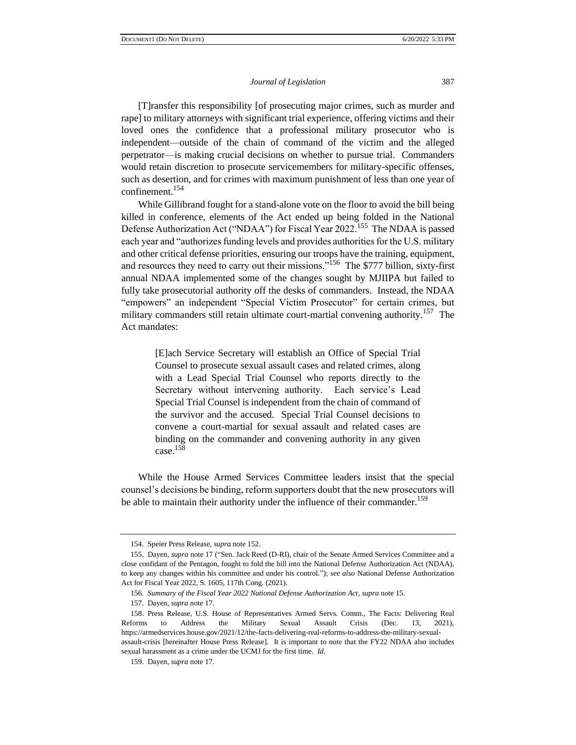[T]ransfer this responsibility [of prosecuting major crimes, such as murder and rape] to military attorneys with significant trial experience, offering victims and their loved ones the confidence that a professional military prosecutor who is independent—outside of the chain of command of the victim and the alleged perpetrator—is making crucial decisions on whether to pursue trial. Commanders would retain discretion to prosecute servicemembers for military-specific offenses, such as desertion, and for crimes with maximum punishment of less than one year of confinement.<sup>154</sup>

While Gillibrand fought for a stand-alone vote on the floor to avoid the bill being killed in conference, elements of the Act ended up being folded in the National Defense Authorization Act ("NDAA") for Fiscal Year 2022.<sup>155</sup> The NDAA is passed each year and "authorizes funding levels and provides authorities for the U.S. military and other critical defense priorities, ensuring our troops have the training, equipment, and resources they need to carry out their missions."<sup>156</sup> The \$777 billion, sixty-first annual NDAA implemented some of the changes sought by MJIIPA but failed to fully take prosecutorial authority off the desks of commanders. Instead, the NDAA "empowers" an independent "Special Victim Prosecutor" for certain crimes, but military commanders still retain ultimate court-martial convening authority.<sup>157</sup> The Act mandates:

> [E]ach Service Secretary will establish an Office of Special Trial Counsel to prosecute sexual assault cases and related crimes, along with a Lead Special Trial Counsel who reports directly to the Secretary without intervening authority. Each service's Lead Special Trial Counsel is independent from the chain of command of the survivor and the accused. Special Trial Counsel decisions to convene a court-martial for sexual assault and related cases are binding on the commander and convening authority in any given case.<sup>158</sup>

While the House Armed Services Committee leaders insist that the special counsel's decisions be binding, reform supporters doubt that the new prosecutors will be able to maintain their authority under the influence of their commander.<sup>159</sup>

<sup>154.</sup> Speier Press Release, *supra* note 152.

<sup>155.</sup> Dayen, *supra* note 17 ("Sen. Jack Reed (D-RI), chair of the Senate Armed Services Committee and a close confidant of the Pentagon, [fought to fold the bill](https://prospect.org/politics/senate-democrat-blocks-military-sexual-assault-bill/) into the National Defense Authorization Act (NDAA), to keep any changes within his committee and under his control."); *see also* National Defense Authorization Act for Fiscal Year 2022, S. 1605, 117th Cong. (2021).

<sup>156</sup>*. Summary of the Fiscal Year 2022 National Defense Authorization Act*, *supra* note 15.

<sup>157.</sup> Dayen, *supra* note 17.

<sup>158.</sup> Press Release, U.S. House of Representatives Armed Servs. Comm., The Facts: Delivering Real Reforms to Address the Military Sexual Assault Crisis (Dec. 13, 2021), https://armedservices.house.gov/2021/12/the-facts-delivering-real-reforms-to-address-the-military-sexualassault-crisis [hereinafter House Press Release]. It is important to note that the FY22 NDAA also includes sexual harassment as a crime under the UCMJ for the first time. *Id.*

<sup>159.</sup> Dayen, *supra* note 17.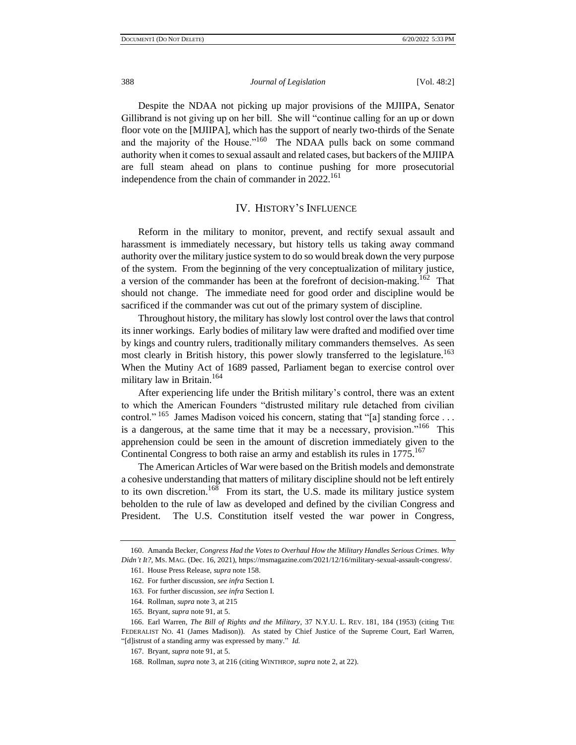Despite the NDAA not picking up major provisions of the MJIIPA, Senator Gillibrand is not giving up on her bill. She will "continue calling for an up or down floor vote on the [MJIIPA], which has the support of nearly two-thirds of the Senate and the majority of the House."<sup>160</sup> The NDAA pulls back on some command authority when it comes to sexual assault and related cases, but backers of the MJIIPA are full steam ahead on plans to continue pushing for more prosecutorial independence from the chain of commander in  $2022$ <sup>161</sup>

#### IV. HISTORY'S INFLUENCE

Reform in the military to monitor, prevent, and rectify sexual assault and harassment is immediately necessary, but history tells us taking away command authority over the military justice system to do so would break down the very purpose of the system. From the beginning of the very conceptualization of military justice, a version of the commander has been at the forefront of decision-making.<sup>162</sup> That should not change. The immediate need for good order and discipline would be sacrificed if the commander was cut out of the primary system of discipline.

Throughout history, the military has slowly lost control over the laws that control its inner workings. Early bodies of military law were drafted and modified over time by kings and country rulers, traditionally military commanders themselves. As seen most clearly in British history, this power slowly transferred to the legislature.<sup>163</sup> When the Mutiny Act of 1689 passed, Parliament began to exercise control over military law in Britain.<sup>164</sup>

After experiencing life under the British military's control, there was an extent to which the American Founders "distrusted military rule detached from civilian control."<sup>165</sup> James Madison voiced his concern, stating that "[a] standing force ... is a dangerous, at the same time that it may be a necessary, provision.<sup> $166$ </sup> This apprehension could be seen in the amount of discretion immediately given to the Continental Congress to both raise an army and establish its rules in 1775.<sup>167</sup>

The American Articles of War were based on the British models and demonstrate a cohesive understanding that matters of military discipline should not be left entirely to its own discretion.<sup>168</sup> From its start, the U.S. made its military justice system beholden to the rule of law as developed and defined by the civilian Congress and President. The U.S. Constitution itself vested the war power in Congress,

<sup>160.</sup> Amanda Becker, *Congress Had the Votes to Overhaul How the Military Handles Serious Crimes. Why Didn't It?*, MS. MAG. (Dec. 16, 2021), https://msmagazine.com/2021/12/16/military-sexual-assault-congress/.

<sup>161.</sup> House Press Release, *supra* note 158.

<sup>162.</sup> For further discussion, *see infra* Section I.

<sup>163.</sup> For further discussion, *see infra* Section I.

<sup>164.</sup> Rollman, *supra* note 3, at 215

<sup>165.</sup> Bryant, *supra* note 91, at 5.

<sup>166.</sup> Earl Warren, *The Bill of Rights and the Military*, 37 N.Y.U. L. REV. 181, 184 (1953) (citing THE FEDERALIST NO. 41 (James Madison)). As stated by Chief Justice of the Supreme Court, Earl Warren, "[d]istrust of a standing army was expressed by many." *Id.* 

<sup>167.</sup> Bryant, *supra* note 91, at 5.

<sup>168.</sup> Rollman, *supra* note 3, at 216 (citing WINTHROP, *supra* note 2, at 22).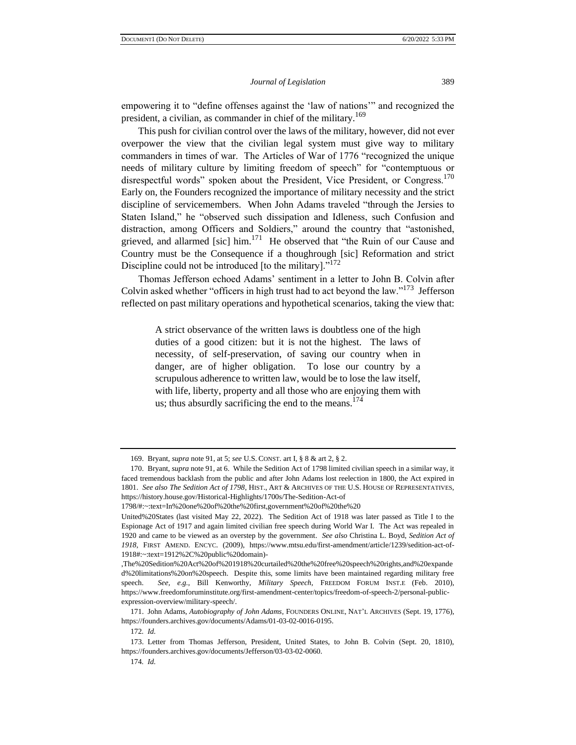empowering it to "define offenses against the 'law of nations'" and recognized the president, a civilian, as commander in chief of the military.<sup>169</sup>

This push for civilian control over the laws of the military, however, did not ever overpower the view that the civilian legal system must give way to military commanders in times of war. The Articles of War of 1776 "recognized the unique needs of military culture by limiting freedom of speech" for "contemptuous or disrespectful words" spoken about the President, Vice President, or Congress.<sup>170</sup> Early on, the Founders recognized the importance of military necessity and the strict discipline of servicemembers. When John Adams traveled "through the Jersies to Staten Island," he "observed such dissipation and Idleness, such Confusion and distraction, among Officers and Soldiers," around the country that "astonished, grieved, and allarmed [sic] him.<sup>171</sup> He observed that "the Ruin of our Cause and Country must be the Consequence if a thoughrough [sic] Reformation and strict Discipline could not be introduced [to the military]."<sup>172</sup>

Thomas Jefferson echoed Adams' sentiment in a letter to John B. Colvin after Colvin asked whether "officers in high trust had to act beyond the law."<sup>173</sup> Jefferson reflected on past military operations and hypothetical scenarios, taking the view that:

> A strict observance of the written laws is doubtless one of the high duties of a good citizen: but it is not the highest. The laws of necessity, of self-preservation, of saving our country when in danger, are of higher obligation. To lose our country by a scrupulous adherence to written law, would be to lose the law itself, with life, liberty, property and all those who are enjoying them with us; thus absurdly sacrificing the end to the means. $174$

<sup>169.</sup> Bryant, *supra* note 91, at 5; *see* U.S. CONST. art I, § 8 & art 2, § 2.

<sup>170.</sup> Bryant, *supra* note 91, at 6. While the Sedition Act of 1798 limited civilian speech in a similar way, it faced tremendous backlash from the public and after John Adams lost reelection in 1800, the Act expired in 1801. *See also The Sedition Act of 1798*, HIST., ART & ARCHIVES OF THE U.S. HOUSE OF REPRESENTATIVES, https://history.house.gov/Historical-Highlights/1700s/The-Sedition-Act-of

<sup>1798/#:~:</sup>text=In%20one%20of%20the%20first,government%20of%20the%20

United%20States (last visited May 22, 2022). The Sedition Act of 1918 was later passed as Title I to the Espionage Act of 1917 and again limited civilian free speech during World War I. The Act was repealed in 1920 and came to be viewed as an overstep by the government. *See also* Christina L. Boyd, *Sedition Act of 1918*, FIRST AMEND. ENCYC. (2009), https://www.mtsu.edu/first-amendment/article/1239/sedition-act-of-1918#:~:text=1912%2C%20public%20domain)-

<sup>,</sup>The%20Sedition%20Act%20of%201918%20curtailed%20the%20free%20speech%20rights,and%20expande d%20limitations%20on%20speech. Despite this, some limits have been maintained regarding military free speech. *See, e.g.*, Bill Kenworthy, *Military Speech*, FREEDOM FORUM INST.E (Feb. 2010), https://www.freedomforuminstitute.org/first-amendment-center/topics/freedom-of-speech-2/personal-publicexpression-overview/military-speech/.

<sup>171.</sup> John Adams, *Autobiography of John Adams*, FOUNDERS ONLINE, NAT'L ARCHIVES (Sept. 19, 1776), https://founders.archives.gov/documents/Adams/01-03-02-0016-0195.

<sup>172</sup>*. Id.*

<sup>173.</sup> Letter from Thomas Jefferson, President, United States, to John B. Colvin (Sept. 20, 1810), https://founders.archives.gov/documents/Jefferson/03-03-02-0060.

<sup>174</sup>*. Id.*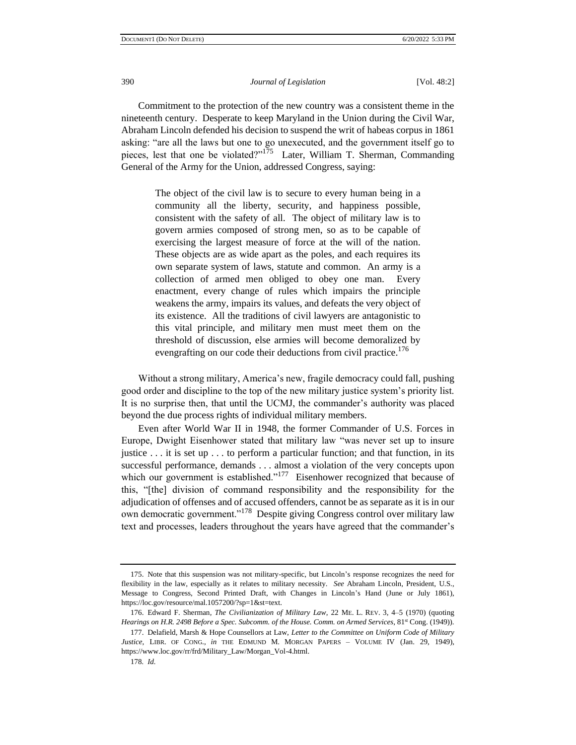Commitment to the protection of the new country was a consistent theme in the nineteenth century. Desperate to keep Maryland in the Union during the Civil War, Abraham Lincoln defended his decision to suspend the writ of habeas corpus in 1861 asking: "are all the laws but one to go unexecuted, and the government itself go to pieces, lest that one be violated?"<sup>175</sup> Later, William T. Sherman, Commanding General of the Army for the Union, addressed Congress, saying:

> The object of the civil law is to secure to every human being in a community all the liberty, security, and happiness possible, consistent with the safety of all. The object of military law is to govern armies composed of strong men, so as to be capable of exercising the largest measure of force at the will of the nation. These objects are as wide apart as the poles, and each requires its own separate system of laws, statute and common. An army is a collection of armed men obliged to obey one man. Every enactment, every change of rules which impairs the principle weakens the army, impairs its values, and defeats the very object of its existence. All the traditions of civil lawyers are antagonistic to this vital principle, and military men must meet them on the threshold of discussion, else armies will become demoralized by evengrafting on our code their deductions from civil practice.<sup>176</sup>

Without a strong military, America's new, fragile democracy could fall, pushing good order and discipline to the top of the new military justice system's priority list. It is no surprise then, that until the UCMJ, the commander's authority was placed beyond the due process rights of individual military members.

Even after World War II in 1948, the former Commander of U.S. Forces in Europe, Dwight Eisenhower stated that military law "was never set up to insure justice . . . it is set up . . . to perform a particular function; and that function, in its successful performance, demands . . . almost a violation of the very concepts upon which our government is established."<sup>177</sup> Eisenhower recognized that because of this, "[the] division of command responsibility and the responsibility for the adjudication of offenses and of accused offenders, cannot be as separate as it is in our own democratic government."<sup>178</sup> Despite giving Congress control over military law text and processes, leaders throughout the years have agreed that the commander's

<sup>175.</sup> Note that this suspension was not military-specific, but Lincoln's response recognizes the need for flexibility in the law, especially as it relates to military necessity. *See* Abraham Lincoln, President, U.S., Message to Congress, Second Printed Draft, with Changes in Lincoln's Hand (June or July 1861), https://loc.gov/resource/mal.1057200/?sp=1&st=text.

<sup>176.</sup> Edward F. Sherman*, The Civilianization of Military Law*, 22 ME. L. REV. 3, 4–5 (1970) (quoting *Hearings on H.R. 2498 Before a Spec. Subcomm. of the House. Comm. on Armed Services*, 81<sup>st</sup> Cong. (1949)).

<sup>177.</sup> Delafield, Marsh & Hope Counsellors at Law, *Letter to the Committee on Uniform Code of Military Justice*, LIBR. OF CONG., *in* THE EDMUND M. MORGAN PAPERS – VOLUME IV (Jan. 29, 1949), https://www.loc.gov/rr/frd/Military\_Law/Morgan\_Vol-4.html.

<sup>178</sup>*. Id.*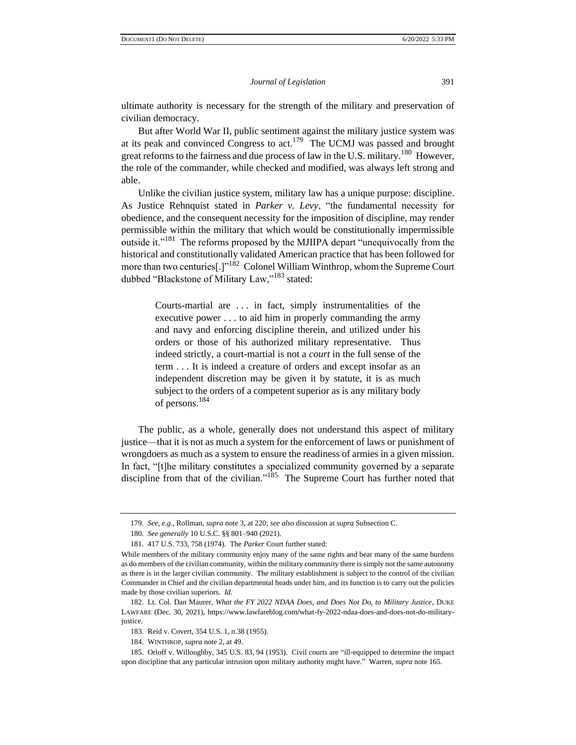ultimate authority is necessary for the strength of the military and preservation of civilian democracy.

But after World War II, public sentiment against the military justice system was at its peak and convinced Congress to act.<sup>179</sup> The UCMJ was passed and brought great reforms to the fairness and due process of law in the U.S. military.<sup>180</sup> However, the role of the commander, while checked and modified, was always left strong and able.

Unlike the civilian justice system, military law has a unique purpose: discipline. As Justice Rehnquist stated in *Parker v. Levy*, "the fundamental necessity for obedience, and the consequent necessity for the imposition of discipline, may render permissible within the military that which would be constitutionally impermissible outside it. $v^{181}$  The reforms proposed by the MJIIPA depart "unequivocally from the historical and constitutionally validated American practice that has been followed for more than two centuries[.]"<sup>182</sup> Colonel William Winthrop, whom the Supreme Court dubbed "Blackstone of Military Law,"<sup>183</sup> stated:

> Courts-martial are . . . in fact, simply instrumentalities of the executive power . . . to aid him in properly commanding the army and navy and enforcing discipline therein, and utilized under his orders or those of his authorized military representative. Thus indeed strictly, a court-martial is not a *court* in the full sense of the term . . . It is indeed a creature of orders and except insofar as an independent discretion may be given it by statute, it is as much subject to the orders of a competent superior as is any military body of persons.<sup>184</sup>

The public, as a whole, generally does not understand this aspect of military justice—that it is not as much a system for the enforcement of laws or punishment of wrongdoers as much as a system to ensure the readiness of armies in a given mission. In fact, "[t]he military constitutes a specialized community governed by a separate discipline from that of the civilian."<sup>185</sup> The Supreme Court has further noted that

<sup>179</sup>*. See, e.g*., Rollman, *supra* note 3, at 220; *see also* discussion at *supra* Subsection C.

<sup>180</sup>*. See generally* 10 U.S.C. §§ 801–940 (2021).

<sup>181.</sup> 417 U.S. 733, 758 (1974). The *Parker* Court further stated:

While members of the military community enjoy many of the same rights and bear many of the same burdens as do members of the civilian community, within the military community there is simply not the same autonomy as there is in the larger civilian community. The military establishment is subject to the control of the civilian Commander in Chief and the civilian departmental heads under him, and its function is to carry out the policies made by those civilian superiors. *Id.* 

<sup>182.</sup> Lt. Col. Dan Maurer, *What the FY 2022 NDAA Does, and Does Not Do, to Military Justice*, DUKE LAWFARE (Dec. 30, 2021), https://www.lawfareblog.com/what-fy-2022-ndaa-does-and-does-not-do-militaryjustice.

<sup>183.</sup> Reid v. Covert, 354 U.S. 1, n.38 (1955).

<sup>184.</sup> WINTHROP, *supra* note 2, at 49.

<sup>185.</sup> Orloff v. Willoughby, 345 U.S. 83, 94 (1953). Civil courts are "ill-equipped to determine the impact upon discipline that any particular intrusion upon military authority might have." Warren, *supra* note 165.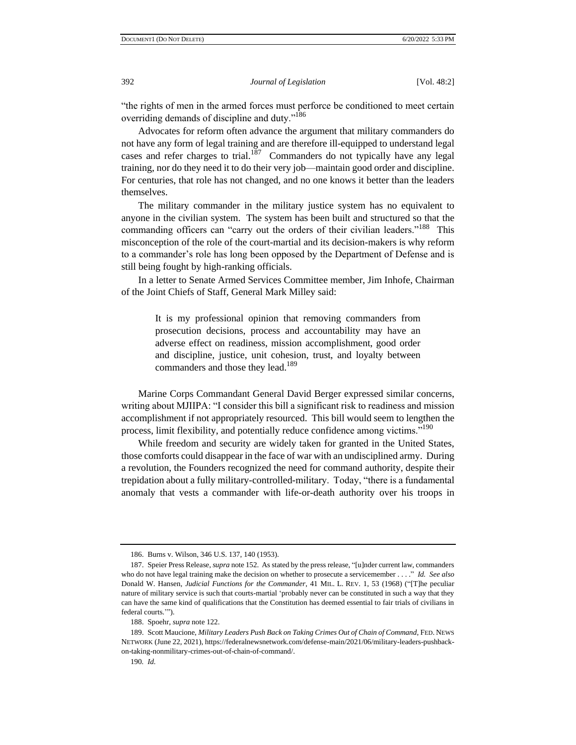"the rights of men in the armed forces must perforce be conditioned to meet certain overriding demands of discipline and duty."<sup>186</sup>

Advocates for reform often advance the argument that military commanders do not have any form of legal training and are therefore ill-equipped to understand legal cases and refer charges to trial.<sup>187</sup> Commanders do not typically have any legal training, nor do they need it to do their very job—maintain good order and discipline. For centuries, that role has not changed, and no one knows it better than the leaders themselves.

The military commander in the military justice system has no equivalent to anyone in the civilian system. The system has been built and structured so that the commanding officers can "carry out the orders of their civilian leaders."<sup>188</sup> This misconception of the role of the court-martial and its decision-makers is why reform to a commander's role has long been opposed by the Department of Defense and is still being fought by high-ranking officials.

In a letter to Senate Armed Services Committee member, Jim Inhofe, Chairman of the Joint Chiefs of Staff, General Mark Milley said:

> It is my professional opinion that removing commanders from prosecution decisions, process and accountability may have an adverse effect on readiness, mission accomplishment, good order and discipline, justice, unit cohesion, trust, and loyalty between commanders and those they lead.<sup>189</sup>

Marine Corps Commandant General David Berger expressed similar concerns, writing about MJIIPA: "I consider this bill a significant risk to readiness and mission accomplishment if not appropriately resourced. This bill would seem to lengthen the process, limit flexibility, and potentially reduce confidence among victims."<sup>190</sup>

While freedom and security are widely taken for granted in the United States, those comforts could disappear in the face of war with an undisciplined army. During a revolution, the Founders recognized the need for command authority, despite their trepidation about a fully military-controlled-military. Today, "there is a fundamental anomaly that vests a commander with life-or-death authority over his troops in

<sup>186.</sup> Burns v. Wilson, 346 U.S. 137, 140 (1953).

<sup>187.</sup> Speier Press Release, *supra* note 152. As stated by the press release, "[u]nder current law, commanders who do not have legal training make the decision on whether to prosecute a servicemember . . . ." *Id. See also* Donald W. Hansen, *Judicial Functions for the Commander*, 41 MIL. L. REV. 1, 53 (1968) ("[T]he peculiar nature of military service is such that courts-martial 'probably never can be constituted in such a way that they can have the same kind of qualifications that the Constitution has deemed essential to fair trials of civilians in federal courts.'").

<sup>188.</sup> Spoehr, *supra* note 122.

<sup>189.</sup> Scott Maucione, *Military Leaders Push Back on Taking Crimes Out of Chain of Command*, FED. NEWS NETWORK (June 22, 2021), https://federalnewsnetwork.com/defense-main/2021/06/military-leaders-pushbackon-taking-nonmilitary-crimes-out-of-chain-of-command/.

<sup>190</sup>*. Id.*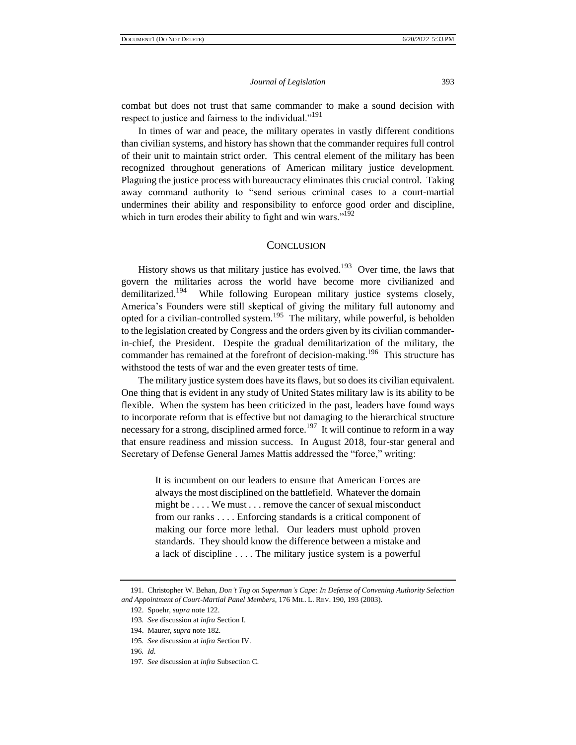combat but does not trust that same commander to make a sound decision with respect to justice and fairness to the individual."<sup>191</sup>

In times of war and peace, the military operates in vastly different conditions than civilian systems, and history has shown that the commander requires full control of their unit to maintain strict order. This central element of the military has been recognized throughout generations of American military justice development. Plaguing the justice process with bureaucracy eliminates this crucial control. Taking away command authority to "send serious criminal cases to a court-martial undermines their ability and responsibility to enforce good order and discipline, which in turn erodes their ability to fight and win wars."<sup>192</sup>

#### **CONCLUSION**

History shows us that military justice has evolved.<sup>193</sup> Over time, the laws that govern the militaries across the world have become more civilianized and demilitarized.<sup>194</sup> While following European military justice systems closely, America's Founders were still skeptical of giving the military full autonomy and opted for a civilian-controlled system.<sup>195</sup> The military, while powerful, is beholden to the legislation created by Congress and the orders given by its civilian commanderin-chief, the President. Despite the gradual demilitarization of the military, the commander has remained at the forefront of decision-making.<sup>196</sup> This structure has withstood the tests of war and the even greater tests of time.

The military justice system does have its flaws, but so does its civilian equivalent. One thing that is evident in any study of United States military law is its ability to be flexible. When the system has been criticized in the past, leaders have found ways to incorporate reform that is effective but not damaging to the hierarchical structure necessary for a strong, disciplined armed force.<sup>197</sup> It will continue to reform in a way that ensure readiness and mission success. In August 2018, four-star general and Secretary of Defense General James Mattis addressed the "force," writing:

> It is incumbent on our leaders to ensure that American Forces are always the most disciplined on the battlefield. Whatever the domain might be . . . . We must . . . remove the cancer of sexual misconduct from our ranks . . . . Enforcing standards is a critical component of making our force more lethal. Our leaders must uphold proven standards. They should know the difference between a mistake and a lack of discipline . . . . The military justice system is a powerful

196*. Id.*

<sup>191.</sup> Christopher W. Behan, *Don't Tug on Superman's Cape: In Defense of Convening Authority Selection and Appointment of Court-Martial Panel Members*, 176 MIL. L. REV. 190, 193 (2003).

<sup>192.</sup> Spoehr, *supra* note 122.

<sup>193</sup>*. See* discussion at *infra* Section I.

<sup>194.</sup> Maurer, *supra* note 182.

<sup>195</sup>*. See* discussion at *infra* Section IV.

<sup>197</sup>*. See* discussion at *infra* Subsection C.